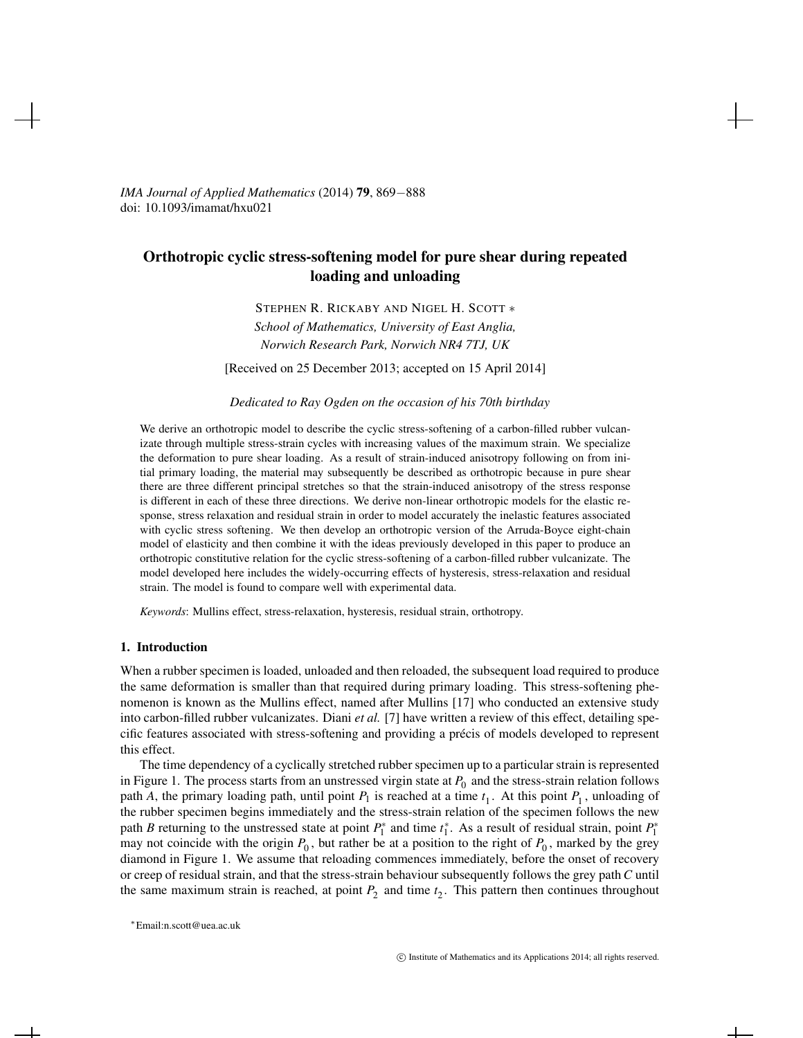*IMA Journal of Applied Mathematics* (2014) 79, 869−888 doi: 10.1093/imamat/hxu021

# Orthotropic cyclic stress-softening model for pure shear during repeated loading and unloading

STEPHEN R. RICKABY AND NIGEL H. SCOTT ∗ *School of Mathematics, University of East Anglia, Norwich Research Park, Norwich NR4 7TJ, UK*

[Received on 25 December 2013; accepted on 15 April 2014]

#### *Dedicated to Ray Ogden on the occasion of his 70th birthday*

We derive an orthotropic model to describe the cyclic stress-softening of a carbon-filled rubber vulcanizate through multiple stress-strain cycles with increasing values of the maximum strain. We specialize the deformation to pure shear loading. As a result of strain-induced anisotropy following on from initial primary loading, the material may subsequently be described as orthotropic because in pure shear there are three different principal stretches so that the strain-induced anisotropy of the stress response is different in each of these three directions. We derive non-linear orthotropic models for the elastic response, stress relaxation and residual strain in order to model accurately the inelastic features associated with cyclic stress softening. We then develop an orthotropic version of the Arruda-Boyce eight-chain model of elasticity and then combine it with the ideas previously developed in this paper to produce an orthotropic constitutive relation for the cyclic stress-softening of a carbon-filled rubber vulcanizate. The model developed here includes the widely-occurring effects of hysteresis, stress-relaxation and residual strain. The model is found to compare well with experimental data.

*Keywords*: Mullins effect, stress-relaxation, hysteresis, residual strain, orthotropy.

# 1. Introduction

When a rubber specimen is loaded, unloaded and then reloaded, the subsequent load required to produce the same deformation is smaller than that required during primary loading. This stress-softening phenomenon is known as the Mullins effect, named after Mullins [17] who conducted an extensive study into carbon-filled rubber vulcanizates. Diani *et al.* [7] have written a review of this effect, detailing specific features associated with stress-softening and providing a precis of models developed to represent ´ this effect.

The time dependency of a cyclically stretched rubber specimen up to a particular strain is represented in Figure 1. The process starts from an unstressed virgin state at  $P_0$  and the stress-strain relation follows path *A*, the primary loading path, until point  $P_1$  is reached at a time  $t_1$ . At this point  $P_1$ , unloading of the rubber specimen begins immediately and the stress-strain relation of the specimen follows the new path *B* returning to the unstressed state at point  $P_1^*$  and time  $t_1^*$ . As a result of residual strain, point  $P_1^*$ may not coincide with the origin  $P_0$ , but rather be at a position to the right of  $P_0$ , marked by the grey diamond in Figure 1. We assume that reloading commences immediately, before the onset of recovery or creep of residual strain, and that the stress-strain behaviour subsequently follows the grey path *C* until the same maximum strain is reached, at point  $P_2$  and time  $t_2$ . This pattern then continues throughout

<sup>∗</sup>Email:n.scott@uea.ac.uk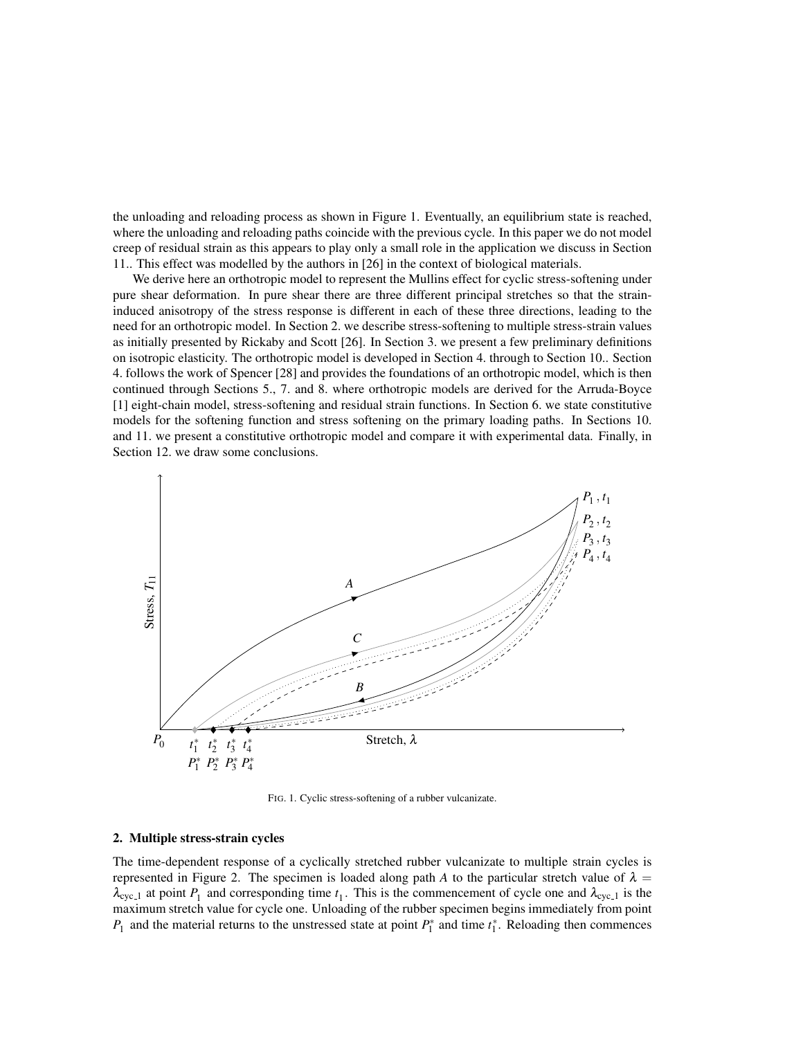the unloading and reloading process as shown in Figure 1. Eventually, an equilibrium state is reached, where the unloading and reloading paths coincide with the previous cycle. In this paper we do not model creep of residual strain as this appears to play only a small role in the application we discuss in Section 11.. This effect was modelled by the authors in [26] in the context of biological materials.

We derive here an orthotropic model to represent the Mullins effect for cyclic stress-softening under pure shear deformation. In pure shear there are three different principal stretches so that the straininduced anisotropy of the stress response is different in each of these three directions, leading to the need for an orthotropic model. In Section 2. we describe stress-softening to multiple stress-strain values as initially presented by Rickaby and Scott [26]. In Section 3. we present a few preliminary definitions on isotropic elasticity. The orthotropic model is developed in Section 4. through to Section 10.. Section 4. follows the work of Spencer [28] and provides the foundations of an orthotropic model, which is then continued through Sections 5., 7. and 8. where orthotropic models are derived for the Arruda-Boyce [1] eight-chain model, stress-softening and residual strain functions. In Section 6. we state constitutive models for the softening function and stress softening on the primary loading paths. In Sections 10. and 11. we present a constitutive orthotropic model and compare it with experimental data. Finally, in Section 12. we draw some conclusions.



FIG. 1. Cyclic stress-softening of a rubber vulcanizate.

# 2. Multiple stress-strain cycles

The time-dependent response of a cyclically stretched rubber vulcanizate to multiple strain cycles is represented in Figure 2. The specimen is loaded along path *A* to the particular stretch value of  $\lambda =$  $\lambda_{\text{cyc}\_1}$  at point  $P_1$  and corresponding time  $t_1$ . This is the commencement of cycle one and  $\lambda_{\text{cyc}\_1}$  is the maximum stretch value for cycle one. Unloading of the rubber specimen begins immediately from point  $P_1$  and the material returns to the unstressed state at point  $P_1^*$  and time  $t_1^*$ . Reloading then commences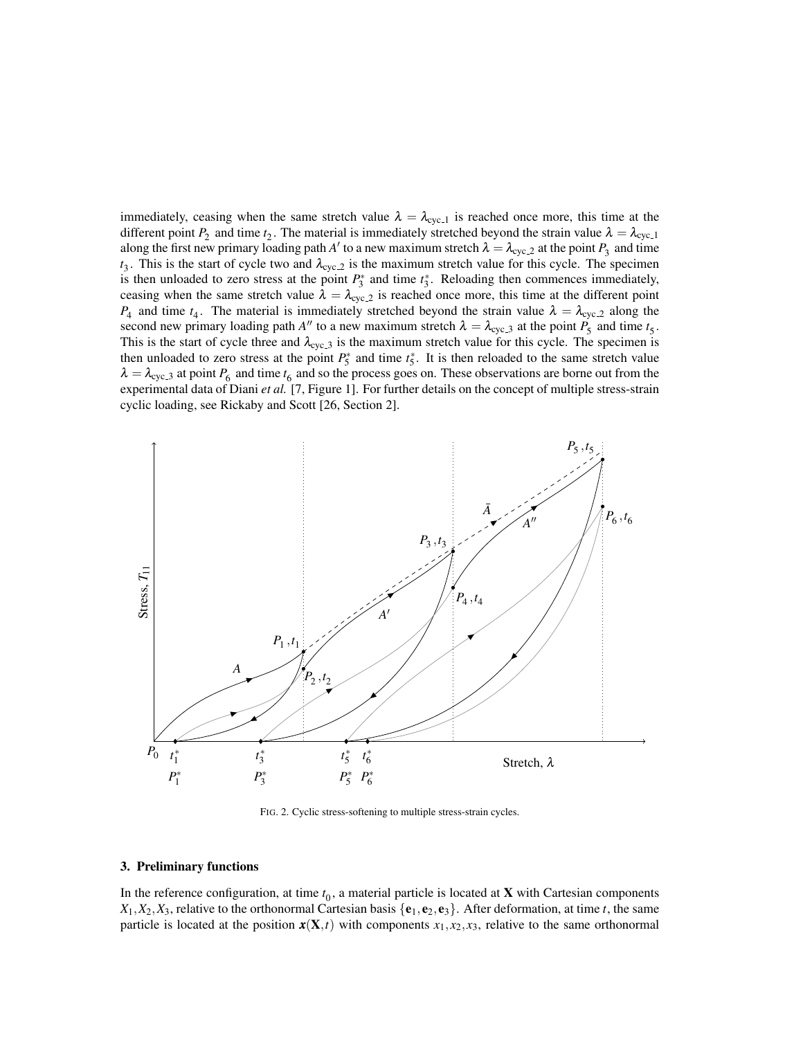immediately, ceasing when the same stretch value  $\lambda = \lambda_{\text{cyc-1}}$  is reached once more, this time at the different point  $P_2$  and time  $t_2$ . The material is immediately stretched beyond the strain value  $\lambda = \lambda_{\text{cyc-1}}$ along the first new primary loading path *A'* to a new maximum stretch  $\lambda = \lambda_{\text{cyc2}}$  at the point  $P_3$  and time  $t_3$ . This is the start of cycle two and  $\lambda_{\text{cyc2}}$  is the maximum stretch value for this cycle. The specimen is then unloaded to zero stress at the point  $P_3^*$  and time  $t_3^*$ . Reloading then commences immediately, ceasing when the same stretch value  $\lambda = \lambda_{\text{cyc-2}}$  is reached once more, this time at the different point  $P_4$  and time  $t_4$ . The material is immediately stretched beyond the strain value  $\lambda = \lambda_{\text{cyc-2}}$  along the second new primary loading path *A*<sup>*n*</sup> to a new maximum stretch  $\lambda = \lambda_{\text{cyc.3}}$  at the point  $P_5$  and time  $t_5$ . This is the start of cycle three and  $\lambda_{\text{cyc,3}}$  is the maximum stretch value for this cycle. The specimen is then unloaded to zero stress at the point  $P_5^*$  and time  $t_5^*$ . It is then reloaded to the same stretch value  $\lambda = \lambda_{\text{cyc-3}}$  at point  $P_6$  and time  $t_6$  and so the process goes on. These observations are borne out from the experimental data of Diani *et al.* [7, Figure 1]. For further details on the concept of multiple stress-strain cyclic loading, see Rickaby and Scott [26, Section 2].



FIG. 2. Cyclic stress-softening to multiple stress-strain cycles.

# 3. Preliminary functions

In the reference configuration, at time  $t_0$ , a material particle is located at  $X$  with Cartesian components  $X_1, X_2, X_3$ , relative to the orthonormal Cartesian basis  $\{e_1, e_2, e_3\}$ . After deformation, at time *t*, the same particle is located at the position  $x(X,t)$  with components  $x_1, x_2, x_3$ , relative to the same orthonormal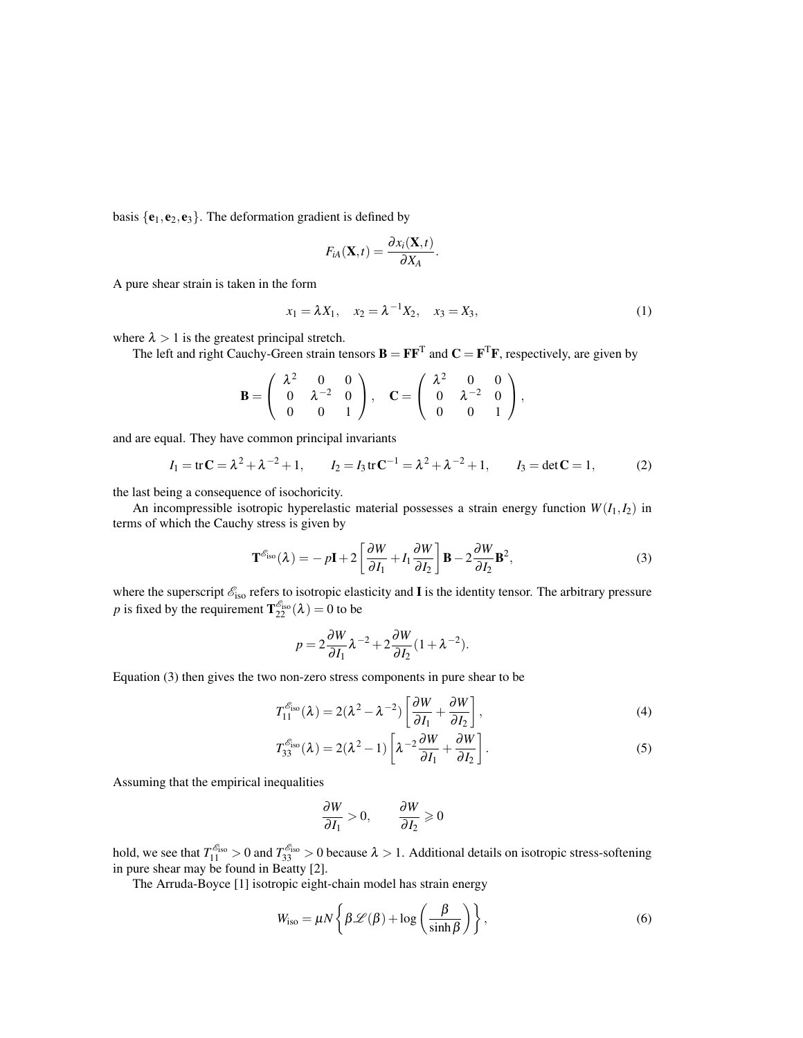basis  $\{e_1, e_2, e_3\}$ . The deformation gradient is defined by

$$
F_{iA}(\mathbf{X},t) = \frac{\partial x_i(\mathbf{X},t)}{\partial X_A}
$$

A pure shear strain is taken in the form

$$
x_1 = \lambda X_1, \quad x_2 = \lambda^{-1} X_2, \quad x_3 = X_3,\tag{1}
$$

.

where  $\lambda > 1$  is the greatest principal stretch.

The left and right Cauchy-Green strain tensors  $\mathbf{B} = \mathbf{F} \mathbf{F}^T$  and  $\mathbf{C} = \mathbf{F}^T \mathbf{F}$ , respectively, are given by

$$
\mathbf{B} = \left( \begin{array}{ccc} \lambda^2 & 0 & 0 \\ 0 & \lambda^{-2} & 0 \\ 0 & 0 & 1 \end{array} \right), \quad \mathbf{C} = \left( \begin{array}{ccc} \lambda^2 & 0 & 0 \\ 0 & \lambda^{-2} & 0 \\ 0 & 0 & 1 \end{array} \right),
$$

and are equal. They have common principal invariants

$$
I_1 = tr\mathbf{C} = \lambda^2 + \lambda^{-2} + 1
$$
,  $I_2 = I_3 tr\mathbf{C}^{-1} = \lambda^2 + \lambda^{-2} + 1$ ,  $I_3 = det\mathbf{C} = 1$ , (2)

the last being a consequence of isochoricity.

An incompressible isotropic hyperelastic material possesses a strain energy function  $W(I_1, I_2)$  in terms of which the Cauchy stress is given by

$$
\mathbf{T}^{\mathcal{E}_{\text{iso}}}(\lambda) = -p\mathbf{I} + 2\left[\frac{\partial W}{\partial I_1} + I_1 \frac{\partial W}{\partial I_2}\right] \mathbf{B} - 2\frac{\partial W}{\partial I_2} \mathbf{B}^2,\tag{3}
$$

where the superscript  $\mathscr{E}_{iso}$  refers to isotropic elasticity and I is the identity tensor. The arbitrary pressure *p* is fixed by the requirement  $T_{22}^{\mathscr{E}_{\text{iso}}}(\lambda) = 0$  to be

$$
p = 2\frac{\partial W}{\partial I_1} \lambda^{-2} + 2\frac{\partial W}{\partial I_2} (1 + \lambda^{-2}).
$$

Equation (3) then gives the two non-zero stress components in pure shear to be

$$
T_{11}^{\mathcal{E}_{\text{iso}}}(\lambda) = 2(\lambda^2 - \lambda^{-2}) \left[ \frac{\partial W}{\partial I_1} + \frac{\partial W}{\partial I_2} \right],\tag{4}
$$

$$
T_{33}^{\mathcal{E}_{\text{iso}}}(\lambda) = 2(\lambda^2 - 1) \left[ \lambda^{-2} \frac{\partial W}{\partial I_1} + \frac{\partial W}{\partial I_2} \right].
$$
 (5)

Assuming that the empirical inequalities

$$
\frac{\partial W}{\partial I_1} > 0, \qquad \frac{\partial W}{\partial I_2} \geqslant 0
$$

hold, we see that  $T_{11}^{\mathscr{E}_{iso}} > 0$  and  $T_{33}^{\mathscr{E}_{iso}} > 0$  because  $\lambda > 1$ . Additional details on isotropic stress-softening in pure shear may be found in Beatty [2].

The Arruda-Boyce [1] isotropic eight-chain model has strain energy

$$
W_{\text{iso}} = \mu N \left\{ \beta \mathcal{L}(\beta) + \log \left( \frac{\beta}{\sinh \beta} \right) \right\},\tag{6}
$$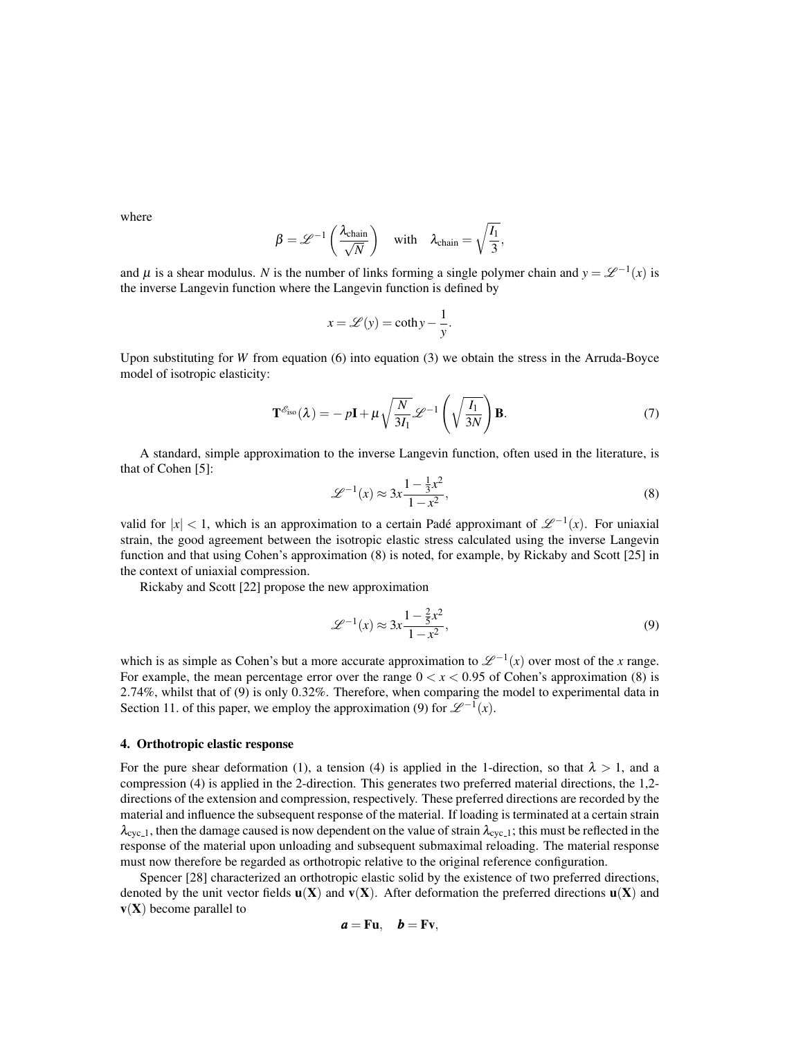where

$$
\beta = \mathscr{L}^{-1}\left(\frac{\lambda_{\text{chain}}}{\sqrt{N}}\right) \quad \text{with} \quad \lambda_{\text{chain}} = \sqrt{\frac{I_1}{3}},
$$

and  $\mu$  is a shear modulus. *N* is the number of links forming a single polymer chain and  $y = \mathcal{L}^{-1}(x)$  is the inverse Langevin function where the Langevin function is defined by

$$
x = \mathcal{L}(y) = \coth y - \frac{1}{y}.
$$

Upon substituting for *W* from equation (6) into equation (3) we obtain the stress in the Arruda-Boyce model of isotropic elasticity:

$$
\mathbf{T}^{\mathcal{E}_{\text{iso}}}(\lambda) = -p\mathbf{I} + \mu \sqrt{\frac{N}{3I_1}} \mathcal{L}^{-1} \left( \sqrt{\frac{I_1}{3N}} \right) \mathbf{B}.
$$
 (7)

A standard, simple approximation to the inverse Langevin function, often used in the literature, is that of Cohen [5]:

$$
\mathcal{L}^{-1}(x) \approx 3x \frac{1 - \frac{1}{3}x^2}{1 - x^2},\tag{8}
$$

valid for  $|x| < 1$ , which is an approximation to a certain Padé approximant of  $\mathscr{L}^{-1}(x)$ . For uniaxial strain, the good agreement between the isotropic elastic stress calculated using the inverse Langevin function and that using Cohen's approximation (8) is noted, for example, by Rickaby and Scott [25] in the context of uniaxial compression.

Rickaby and Scott [22] propose the new approximation

$$
\mathcal{L}^{-1}(x) \approx 3x \frac{1 - \frac{2}{5}x^2}{1 - x^2},\tag{9}
$$

which is as simple as Cohen's but a more accurate approximation to  $\mathcal{L}^{-1}(x)$  over most of the *x* range. For example, the mean percentage error over the range  $0 < x < 0.95$  of Cohen's approximation (8) is 2.74%, whilst that of (9) is only 0.32%. Therefore, when comparing the model to experimental data in Section 11. of this paper, we employ the approximation (9) for  $\mathcal{L}^{-1}(x)$ .

#### 4. Orthotropic elastic response

For the pure shear deformation (1), a tension (4) is applied in the 1-direction, so that  $\lambda > 1$ , and a compression (4) is applied in the 2-direction. This generates two preferred material directions, the 1,2 directions of the extension and compression, respectively. These preferred directions are recorded by the material and influence the subsequent response of the material. If loading is terminated at a certain strain  $\lambda_{\text{cyc},1}$ , then the damage caused is now dependent on the value of strain  $\lambda_{\text{cyc},1}$ ; this must be reflected in the response of the material upon unloading and subsequent submaximal reloading. The material response must now therefore be regarded as orthotropic relative to the original reference configuration.

Spencer [28] characterized an orthotropic elastic solid by the existence of two preferred directions, denoted by the unit vector fields  $\mathbf{u}(\mathbf{X})$  and  $\mathbf{v}(\mathbf{X})$ . After deformation the preferred directions  $\mathbf{u}(\mathbf{X})$  and  $v(X)$  become parallel to

$$
a = Fu, \quad b = Fv,
$$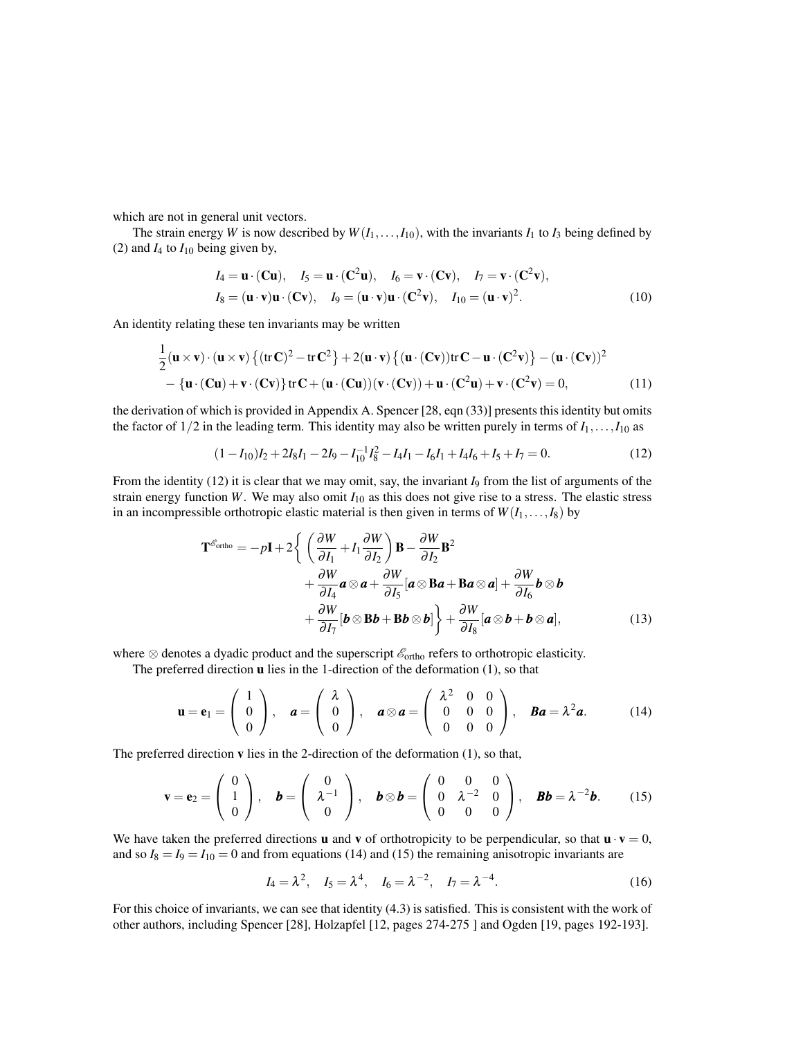which are not in general unit vectors.

The strain energy *W* is now described by  $W(I_1, \ldots, I_{10})$ , with the invariants  $I_1$  to  $I_3$  being defined by (2) and  $I_4$  to  $I_{10}$  being given by,

$$
I_4 = \mathbf{u} \cdot (\mathbf{C} \mathbf{u}), \quad I_5 = \mathbf{u} \cdot (\mathbf{C}^2 \mathbf{u}), \quad I_6 = \mathbf{v} \cdot (\mathbf{C} \mathbf{v}), \quad I_7 = \mathbf{v} \cdot (\mathbf{C}^2 \mathbf{v}),
$$
  
\n
$$
I_8 = (\mathbf{u} \cdot \mathbf{v}) \mathbf{u} \cdot (\mathbf{C} \mathbf{v}), \quad I_9 = (\mathbf{u} \cdot \mathbf{v}) \mathbf{u} \cdot (\mathbf{C}^2 \mathbf{v}), \quad I_{10} = (\mathbf{u} \cdot \mathbf{v})^2.
$$
 (10)

An identity relating these ten invariants may be written

$$
\frac{1}{2}(\mathbf{u}\times\mathbf{v})\cdot(\mathbf{u}\times\mathbf{v})\left\{(\mathrm{tr}\,\mathbf{C})^2-\mathrm{tr}\,\mathbf{C}^2\right\}+2(\mathbf{u}\cdot\mathbf{v})\left\{(\mathbf{u}\cdot(\mathbf{C}\mathbf{v}))\mathrm{tr}\,\mathbf{C}-\mathbf{u}\cdot(\mathbf{C}^2\mathbf{v})\right\}-(\mathbf{u}\cdot(\mathbf{C}\mathbf{v}))^2-\left\{\mathbf{u}\cdot(\mathbf{C}\mathbf{u})+\mathbf{v}\cdot(\mathbf{C}\mathbf{v})\right\}\mathrm{tr}\,\mathbf{C}+(\mathbf{u}\cdot(\mathbf{C}\mathbf{u}))(\mathbf{v}\cdot(\mathbf{C}\mathbf{v}))+\mathbf{u}\cdot(\mathbf{C}^2\mathbf{u})+\mathbf{v}\cdot(\mathbf{C}^2\mathbf{v})=0,
$$
(11)

the derivation of which is provided in Appendix A. Spencer [28, eqn (33)] presents this identity but omits the factor of  $1/2$  in the leading term. This identity may also be written purely in terms of  $I_1, \ldots, I_{10}$  as

$$
(1 - I_{10})I_2 + 2I_8I_1 - 2I_9 - I_{10}^{-1}I_8^2 - I_4I_1 - I_6I_1 + I_4I_6 + I_5 + I_7 = 0.
$$
\n(12)

From the identity (12) it is clear that we may omit, say, the invariant *I*<sub>9</sub> from the list of arguments of the strain energy function *W*. We may also omit *I*<sup>10</sup> as this does not give rise to a stress. The elastic stress in an incompressible orthotropic elastic material is then given in terms of  $W(I_1, \ldots, I_8)$  by

$$
\mathbf{T}^{\mathscr{E}_{\text{ortho}}} = -p\mathbf{I} + 2\left\{ \left( \frac{\partial W}{\partial I_1} + I_1 \frac{\partial W}{\partial I_2} \right) \mathbf{B} - \frac{\partial W}{\partial I_2} \mathbf{B}^2 + \frac{\partial W}{\partial I_4} \mathbf{a} \otimes \mathbf{a} + \frac{\partial W}{\partial I_5} [\mathbf{a} \otimes \mathbf{B} \mathbf{a} + \mathbf{B} \mathbf{a} \otimes \mathbf{a}] + \frac{\partial W}{\partial I_6} \mathbf{b} \otimes \mathbf{b} + \frac{\partial W}{\partial I_7} [\mathbf{b} \otimes \mathbf{B} \mathbf{b} + \mathbf{B} \mathbf{b} \otimes \mathbf{b}] \right\} + \frac{\partial W}{\partial I_8} [\mathbf{a} \otimes \mathbf{b} + \mathbf{b} \otimes \mathbf{a}], \tag{13}
$$

where  $\otimes$  denotes a dyadic product and the superscript  $\mathscr{E}_{\text{ortho}}$  refers to orthotropic elasticity.

The preferred direction u lies in the 1-direction of the deformation (1), so that

$$
\mathbf{u} = \mathbf{e}_1 = \begin{pmatrix} 1 \\ 0 \\ 0 \end{pmatrix}, \quad \mathbf{a} = \begin{pmatrix} \lambda \\ 0 \\ 0 \end{pmatrix}, \quad \mathbf{a} \otimes \mathbf{a} = \begin{pmatrix} \lambda^2 & 0 & 0 \\ 0 & 0 & 0 \\ 0 & 0 & 0 \end{pmatrix}, \quad \mathbf{B}\mathbf{a} = \lambda^2 \mathbf{a}.
$$
 (14)

The preferred direction v lies in the 2-direction of the deformation (1), so that,

$$
\mathbf{v} = \mathbf{e}_2 = \begin{pmatrix} 0 \\ 1 \\ 0 \end{pmatrix}, \quad \mathbf{b} = \begin{pmatrix} 0 \\ \lambda^{-1} \\ 0 \end{pmatrix}, \quad \mathbf{b} \otimes \mathbf{b} = \begin{pmatrix} 0 & 0 & 0 \\ 0 & \lambda^{-2} & 0 \\ 0 & 0 & 0 \end{pmatrix}, \quad \mathbf{B}\mathbf{b} = \lambda^{-2}\mathbf{b}.
$$
 (15)

We have taken the preferred directions **u** and **v** of orthotropicity to be perpendicular, so that  $\mathbf{u} \cdot \mathbf{v} = 0$ , and so  $I_8 = I_9 = I_{10} = 0$  and from equations (14) and (15) the remaining anisotropic invariants are

$$
I_4 = \lambda^2
$$
,  $I_5 = \lambda^4$ ,  $I_6 = \lambda^{-2}$ ,  $I_7 = \lambda^{-4}$ . (16)

For this choice of invariants, we can see that identity (4.3) is satisfied. This is consistent with the work of other authors, including Spencer [28], Holzapfel [12, pages 274-275 ] and Ogden [19, pages 192-193].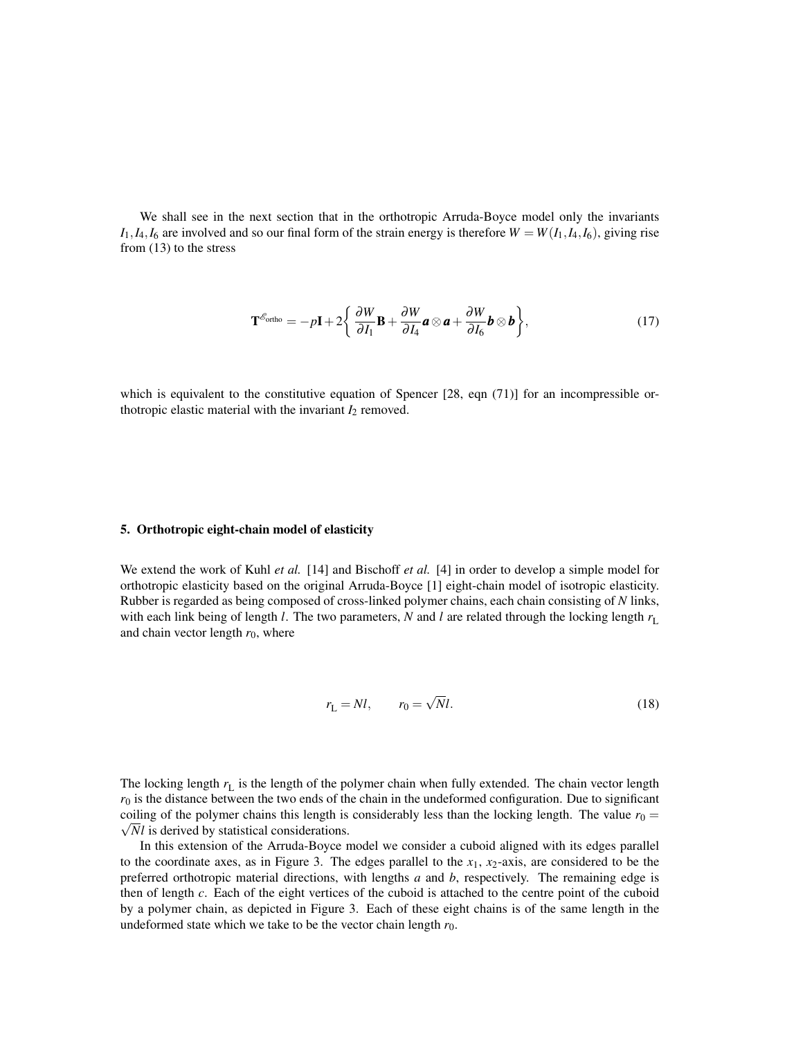We shall see in the next section that in the orthotropic Arruda-Boyce model only the invariants  $I_1$ ,  $I_4$ ,  $I_6$  are involved and so our final form of the strain energy is therefore  $W = W(I_1, I_4, I_6)$ , giving rise from (13) to the stress

$$
\mathbf{T}^{\mathscr{E}_{\text{ortho}}} = -p\mathbf{I} + 2\left\{\frac{\partial W}{\partial I_1}\mathbf{B} + \frac{\partial W}{\partial I_4}\mathbf{a}\otimes\mathbf{a} + \frac{\partial W}{\partial I_6}\mathbf{b}\otimes\mathbf{b}\right\},\tag{17}
$$

which is equivalent to the constitutive equation of Spencer  $[28, eqn (71)]$  for an incompressible orthotropic elastic material with the invariant  $I_2$  removed.

# 5. Orthotropic eight-chain model of elasticity

We extend the work of Kuhl *et al.* [14] and Bischoff *et al.* [4] in order to develop a simple model for orthotropic elasticity based on the original Arruda-Boyce [1] eight-chain model of isotropic elasticity. Rubber is regarded as being composed of cross-linked polymer chains, each chain consisting of *N* links, with each link being of length *l*. The two parameters, *N* and *l* are related through the locking length  $r<sub>L</sub>$ and chain vector length  $r_0$ , where

$$
r_{\rm L} = Nl, \qquad r_0 = \sqrt{N}l. \tag{18}
$$

The locking length  $r<sub>L</sub>$  is the length of the polymer chain when fully extended. The chain vector length  $r<sub>0</sub>$  is the distance between the two ends of the chain in the undeformed configuration. Due to significant coiling of the polymer chains this length is considerably less than the locking length. The value  $r_0 =$  $\sqrt{N}l$  is derived by statistical considerations.

In this extension of the Arruda-Boyce model we consider a cuboid aligned with its edges parallel to the coordinate axes, as in Figure 3. The edges parallel to the  $x_1$ ,  $x_2$ -axis, are considered to be the preferred orthotropic material directions, with lengths *a* and *b*, respectively. The remaining edge is then of length *c*. Each of the eight vertices of the cuboid is attached to the centre point of the cuboid by a polymer chain, as depicted in Figure 3. Each of these eight chains is of the same length in the undeformed state which we take to be the vector chain length  $r_0$ .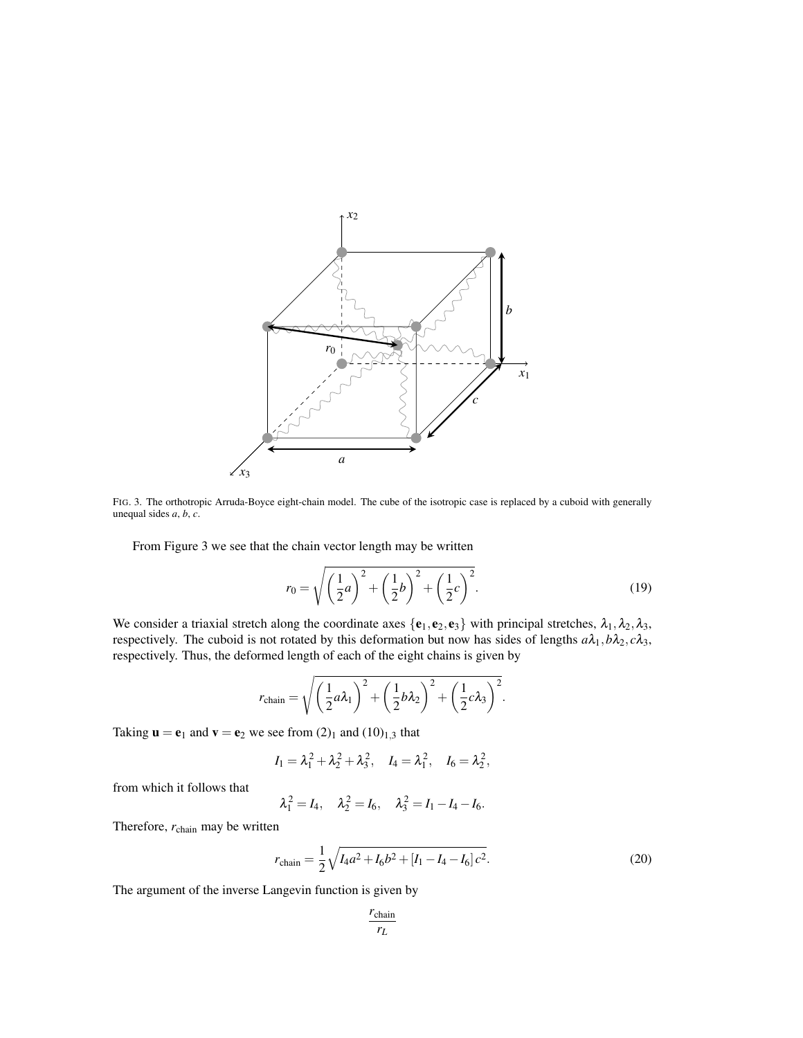

FIG. 3. The orthotropic Arruda-Boyce eight-chain model. The cube of the isotropic case is replaced by a cuboid with generally unequal sides *a*, *b*, *c*.

From Figure 3 we see that the chain vector length may be written

$$
r_0 = \sqrt{\left(\frac{1}{2}a\right)^2 + \left(\frac{1}{2}b\right)^2 + \left(\frac{1}{2}c\right)^2}.
$$
 (19)

We consider a triaxial stretch along the coordinate axes  $\{e_1, e_2, e_3\}$  with principal stretches,  $\lambda_1, \lambda_2, \lambda_3$ , respectively. The cuboid is not rotated by this deformation but now has sides of lengths  $a\lambda_1$ ,  $b\lambda_2$ ,  $c\lambda_3$ , respectively. Thus, the deformed length of each of the eight chains is given by

$$
r_{\text{chain}} = \sqrt{\left(\frac{1}{2}a\lambda_1\right)^2 + \left(\frac{1}{2}b\lambda_2\right)^2 + \left(\frac{1}{2}c\lambda_3\right)^2}.
$$

Taking  $\mathbf{u} = \mathbf{e}_1$  and  $\mathbf{v} = \mathbf{e}_2$  we see from  $(2)_1$  and  $(10)_{1,3}$  that

$$
I_1 = \lambda_1^2 + \lambda_2^2 + \lambda_3^2
$$
,  $I_4 = \lambda_1^2$ ,  $I_6 = \lambda_2^2$ ,

from which it follows that

$$
\lambda_1^2 = I_4, \quad \lambda_2^2 = I_6, \quad \lambda_3^2 = I_1 - I_4 - I_6.
$$

Therefore, *r*chain may be written

$$
r_{\text{chain}} = \frac{1}{2} \sqrt{I_4 a^2 + I_6 b^2 + [I_1 - I_4 - I_6] c^2}.
$$
 (20)

The argument of the inverse Langevin function is given by

$$
\frac{r_{\text{chain}}}{r_L}
$$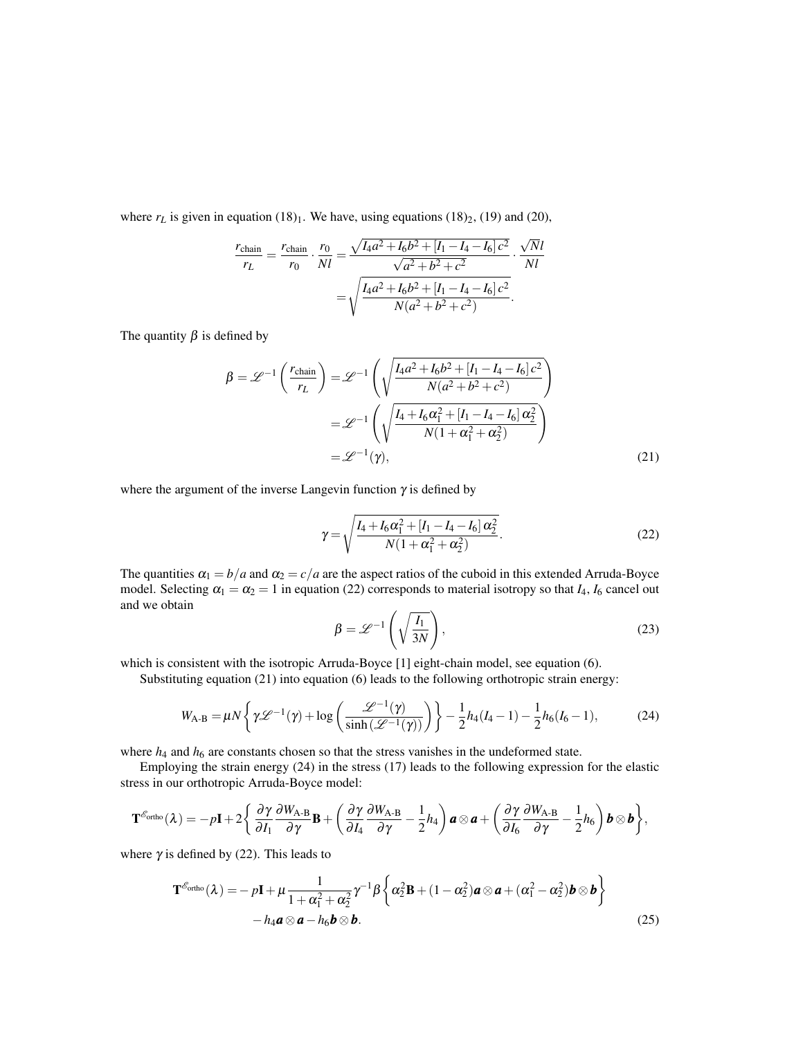where  $r_L$  is given in equation  $(18)_1$ . We have, using equations  $(18)_2$ ,  $(19)$  and  $(20)$ ,

$$
\frac{r_{\text{chain}}}{r_L} = \frac{r_{\text{chain}}}{r_0} \cdot \frac{r_0}{Nl} = \frac{\sqrt{I_4 a^2 + I_6 b^2 + [I_1 - I_4 - I_6] c^2}}{\sqrt{a^2 + b^2 + c^2}} \cdot \frac{\sqrt{N}l}{Nl}
$$

$$
= \sqrt{\frac{I_4 a^2 + I_6 b^2 + [I_1 - I_4 - I_6] c^2}{N(a^2 + b^2 + c^2)}}.
$$

The quantity  $\beta$  is defined by

$$
\beta = \mathcal{L}^{-1}\left(\frac{r_{\text{chain}}}{r_L}\right) = \mathcal{L}^{-1}\left(\sqrt{\frac{I_4 a^2 + I_6 b^2 + [I_1 - I_4 - I_6] c^2}{N(a^2 + b^2 + c^2)}}\right)
$$

$$
= \mathcal{L}^{-1}\left(\sqrt{\frac{I_4 + I_6 \alpha_1^2 + [I_1 - I_4 - I_6] \alpha_2^2}{N(1 + \alpha_1^2 + \alpha_2^2)}}\right)
$$

$$
= \mathcal{L}^{-1}(\gamma), \tag{21}
$$

where the argument of the inverse Langevin function  $\gamma$  is defined by

$$
\gamma = \sqrt{\frac{I_4 + I_6 \alpha_1^2 + [I_1 - I_4 - I_6] \alpha_2^2}{N(1 + \alpha_1^2 + \alpha_2^2)}}.
$$
\n(22)

The quantities  $\alpha_1 = b/a$  and  $\alpha_2 = c/a$  are the aspect ratios of the cuboid in this extended Arruda-Boyce model. Selecting  $\alpha_1 = \alpha_2 = 1$  in equation (22) corresponds to material isotropy so that  $I_4$ ,  $I_6$  cancel out and we obtain

$$
\beta = \mathcal{L}^{-1}\left(\sqrt{\frac{I_1}{3N}}\right),\tag{23}
$$

which is consistent with the isotropic Arruda-Boyce [1] eight-chain model, see equation (6).

Substituting equation (21) into equation (6) leads to the following orthotropic strain energy:

$$
W_{A-B} = \mu N \left\{ \gamma \mathcal{L}^{-1}(\gamma) + \log \left( \frac{\mathcal{L}^{-1}(\gamma)}{\sinh(\mathcal{L}^{-1}(\gamma))} \right) \right\} - \frac{1}{2} h_4 (I_4 - 1) - \frac{1}{2} h_6 (I_6 - 1), \tag{24}
$$

where  $h_4$  and  $h_6$  are constants chosen so that the stress vanishes in the undeformed state.

Employing the strain energy (24) in the stress (17) leads to the following expression for the elastic stress in our orthotropic Arruda-Boyce model:

$$
\mathbf{T}^{\mathscr{E}_{\text{ortho}}}_{}(\lambda) = -p\mathbf{I} + 2\left\{\frac{\partial \gamma}{\partial I_1}\frac{\partial W_{A\text{-}B}}{\partial \gamma}\mathbf{B} + \left(\frac{\partial \gamma}{\partial I_4}\frac{\partial W_{A\text{-}B}}{\partial \gamma} - \frac{1}{2}h_4\right)\mathbf{a}\otimes\mathbf{a} + \left(\frac{\partial \gamma}{\partial I_6}\frac{\partial W_{A\text{-}B}}{\partial \gamma} - \frac{1}{2}h_6\right)\mathbf{b}\otimes\mathbf{b}\right\},\,
$$

where  $\gamma$  is defined by (22). This leads to

$$
\mathbf{T}^{\mathscr{E}_{\text{ortho}}}(\lambda) = -p\mathbf{I} + \mu \frac{1}{1 + \alpha_1^2 + \alpha_2^2} \gamma^{-1} \beta \left\{ \alpha_2^2 \mathbf{B} + (1 - \alpha_2^2) \mathbf{a} \otimes \mathbf{a} + (\alpha_1^2 - \alpha_2^2) \mathbf{b} \otimes \mathbf{b} \right\}
$$

$$
-h_4 \mathbf{a} \otimes \mathbf{a} - h_6 \mathbf{b} \otimes \mathbf{b}.
$$
 (25)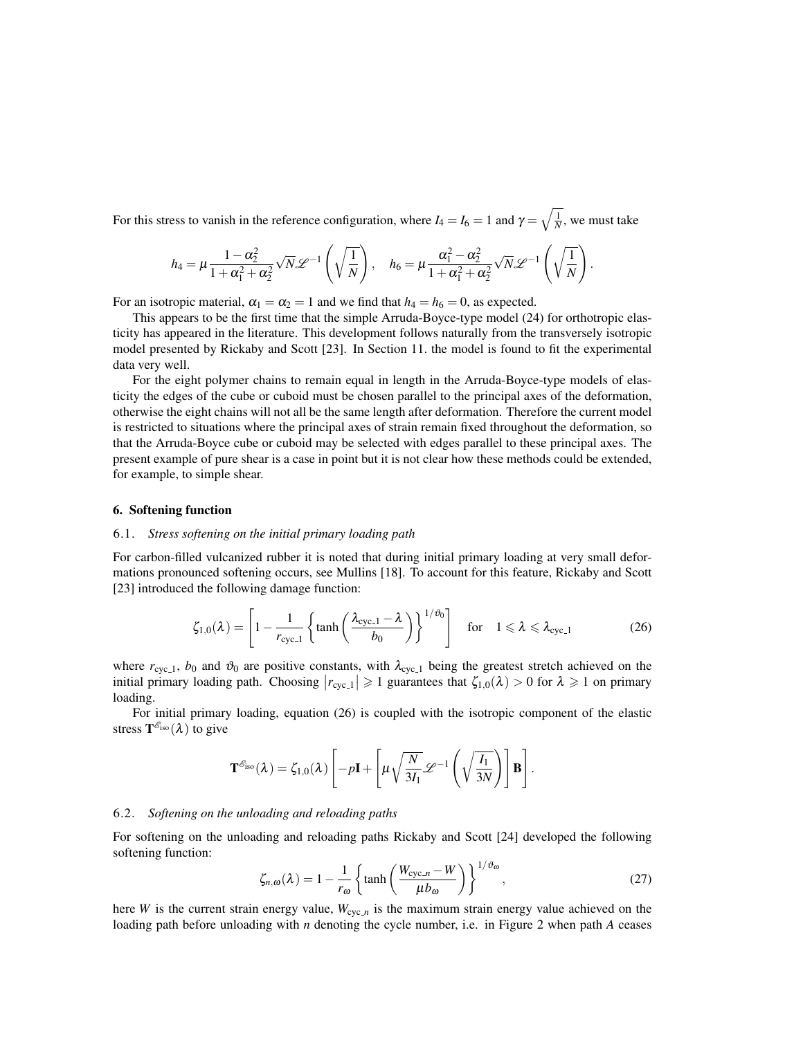For this stress to vanish in the reference configuration, where  $I_4 = I_6 = 1$  and  $\gamma = \sqrt{\frac{1}{N}}$ , we must take

$$
h_4 = \mu \frac{1 - \alpha_2^2}{1 + \alpha_1^2 + \alpha_2^2} \sqrt{N} \mathscr{L}^{-1}\left(\sqrt{\frac{1}{N}}\right), \quad h_6 = \mu \frac{\alpha_1^2 - \alpha_2^2}{1 + \alpha_1^2 + \alpha_2^2} \sqrt{N} \mathscr{L}^{-1}\left(\sqrt{\frac{1}{N}}\right).
$$

For an isotropic material,  $\alpha_1 = \alpha_2 = 1$  and we find that  $h_4 = h_6 = 0$ , as expected.

This appears to be the first time that the simple Arruda-Boyce-type model (24) for orthotropic elasticity has appeared in the literature. This development follows naturally from the transversely isotropic model presented by Rickaby and Scott [23]. In Section 11. the model is found to fit the experimental data very well.

For the eight polymer chains to remain equal in length in the Arruda-Boyce-type models of elasticity the edges of the cube or cuboid must be chosen parallel to the principal axes of the deformation, otherwise the eight chains will not all be the same length after deformation. Therefore the current model is restricted to situations where the principal axes of strain remain fixed throughout the deformation, so that the Arruda-Boyce cube or cuboid may be selected with edges parallel to these principal axes. The present example of pure shear is a case in point but it is not clear how these methods could be extended, for example, to simple shear.

# 6. Softening function

# 6.1. *Stress softening on the initial primary loading path*

For carbon-filled vulcanized rubber it is noted that during initial primary loading at very small deformations pronounced softening occurs, see Mullins [18]. To account for this feature, Rickaby and Scott [23] introduced the following damage function:

$$
\zeta_{1,0}(\lambda) = \left[1 - \frac{1}{r_{\text{cyc.1}}} \left\{ \tanh\left(\frac{\lambda_{\text{cyc.1}} - \lambda}{b_0}\right) \right\}^{1/\vartheta_0} \right] \quad \text{for} \quad 1 \leq \lambda \leq \lambda_{\text{cyc.1}} \tag{26}
$$

where  $r_{\text{cyc},1}$ ,  $b_0$  and  $\vartheta_0$  are positive constants, with  $\lambda_{\text{cyc},1}$  being the greatest stretch achieved on the initial primary loading path. Choosing  $|r_{\text{cyc-1}}| \geq 1$  guarantees that  $\zeta_{1,0}(\lambda) > 0$  for  $\lambda \geq 1$  on primary loading.

For initial primary loading, equation (26) is coupled with the isotropic component of the elastic stress  $\mathbf{T}^{\mathscr{E}_{\text{iso}}}(\lambda)$  to give

$$
\mathbf{T}^{\mathcal{E}_{\text{iso}}}(\lambda) = \zeta_{1,0}(\lambda) \left[ -p\mathbf{I} + \left[ \mu \sqrt{\frac{N}{3I_1}} \mathscr{L}^{-1} \left( \sqrt{\frac{I_1}{3N}} \right) \right] \mathbf{B} \right].
$$

# 6.2. *Softening on the unloading and reloading paths*

For softening on the unloading and reloading paths Rickaby and Scott [24] developed the following softening function:

$$
\zeta_{n,\omega}(\lambda) = 1 - \frac{1}{r_{\omega}} \left\{ \tanh\left(\frac{W_{\text{cyc},n} - W}{\mu b_{\omega}}\right) \right\}^{1/\vartheta_{\omega}},\tag{27}
$$

here *W* is the current strain energy value,  $W_{\text{cyc},n}$  is the maximum strain energy value achieved on the loading path before unloading with *n* denoting the cycle number, i.e. in Figure 2 when path *A* ceases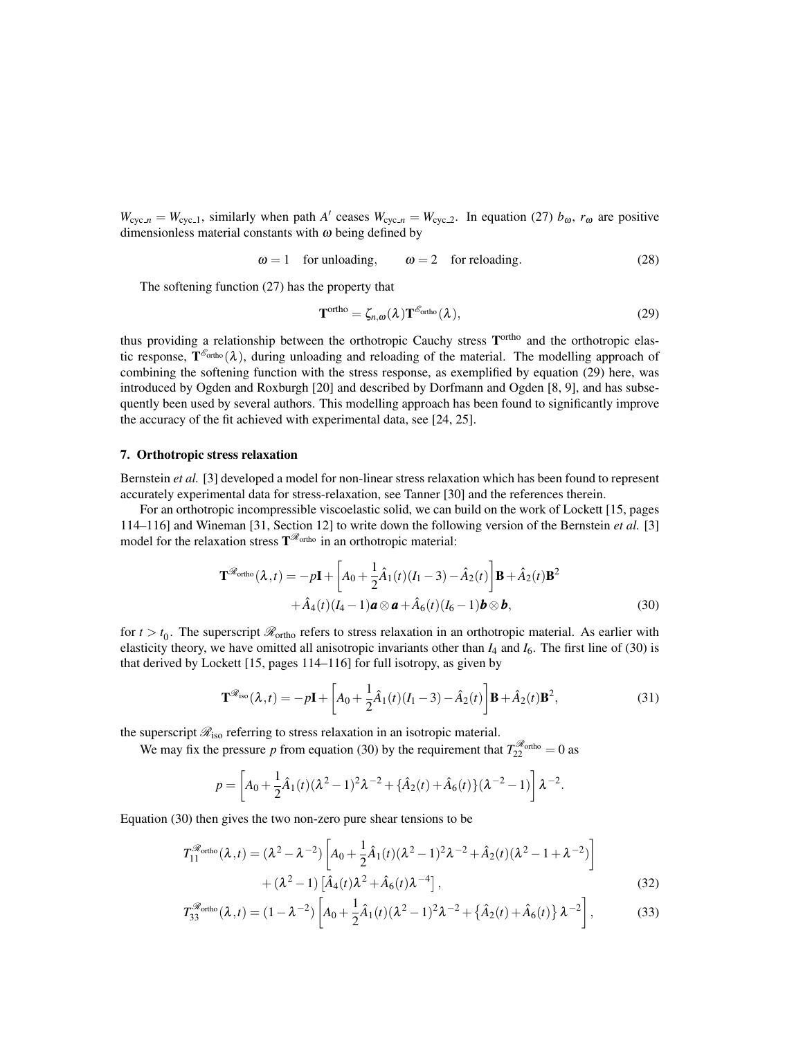$W_{\text{cyc},n} = W_{\text{cyc},1}$ , similarly when path *A'* ceases  $W_{\text{cyc},n} = W_{\text{cyc},2}$ . In equation (27)  $b_{\omega}$ ,  $r_{\omega}$  are positive dimensionless material constants with  $\omega$  being defined by

 $\omega = 1$  for unloading,  $\omega = 2$  for reloading. (28)

The softening function (27) has the property that

$$
\mathbf{T}^{\text{ortho}} = \zeta_{n,\omega}(\lambda) \mathbf{T}^{\mathscr{E}_{\text{ortho}}}(\lambda), \qquad (29)
$$

thus providing a relationship between the orthotropic Cauchy stress T<sup>ortho</sup> and the orthotropic elastic response,  $T^{\mathcal{E}_{\text{ortho}}}(\lambda)$ , during unloading and reloading of the material. The modelling approach of combining the softening function with the stress response, as exemplified by equation (29) here, was introduced by Ogden and Roxburgh [20] and described by Dorfmann and Ogden [8, 9], and has subsequently been used by several authors. This modelling approach has been found to significantly improve the accuracy of the fit achieved with experimental data, see [24, 25].

# 7. Orthotropic stress relaxation

Bernstein *et al.* [3] developed a model for non-linear stress relaxation which has been found to represent accurately experimental data for stress-relaxation, see Tanner [30] and the references therein.

For an orthotropic incompressible viscoelastic solid, we can build on the work of Lockett [15, pages 114–116] and Wineman [31, Section 12] to write down the following version of the Bernstein *et al.* [3] model for the relaxation stress  $T^{\mathcal{R}_{\text{ortho}}}$  in an orthotropic material:

$$
\mathbf{T}^{\mathscr{R}_{\text{ortho}}}(\lambda, t) = -p\mathbf{I} + \left[A_0 + \frac{1}{2}\hat{A}_1(t)(I_1 - 3) - \hat{A}_2(t)\right]\mathbf{B} + \hat{A}_2(t)\mathbf{B}^2
$$

$$
+ \hat{A}_4(t)(I_4 - 1)\mathbf{a} \otimes \mathbf{a} + \hat{A}_6(t)(I_6 - 1)\mathbf{b} \otimes \mathbf{b}, \tag{30}
$$

for  $t > t_0$ . The superscript  $\mathcal{R}_{\text{ortho}}$  refers to stress relaxation in an orthotropic material. As earlier with elasticity theory, we have omitted all anisotropic invariants other than *I*<sup>4</sup> and *I*6. The first line of (30) is that derived by Lockett [15, pages 114–116] for full isotropy, as given by

$$
\mathbf{T}^{\mathcal{R}_{\text{iso}}}(\lambda, t) = -p\mathbf{I} + \left[A_0 + \frac{1}{2}\hat{A}_1(t)(I_1 - 3) - \hat{A}_2(t)\right]\mathbf{B} + \hat{A}_2(t)\mathbf{B}^2,
$$
\n(31)

the superscript  $\mathcal{R}_{iso}$  referring to stress relaxation in an isotropic material.

We may fix the pressure *p* from equation (30) by the requirement that  $T_{22}^{\mathcal{R}_{\text{ortho}}} = 0$  as

$$
p = \left[ A_0 + \frac{1}{2} \hat{A}_1(t) (\lambda^2 - 1)^2 \lambda^{-2} + \{\hat{A}_2(t) + \hat{A}_6(t)\} (\lambda^{-2} - 1) \right] \lambda^{-2}.
$$

Equation (30) then gives the two non-zero pure shear tensions to be

$$
T_{11}^{\mathcal{R}_{\text{ortho}}}(\lambda, t) = (\lambda^2 - \lambda^{-2}) \left[ A_0 + \frac{1}{2} \hat{A}_1(t) (\lambda^2 - 1)^2 \lambda^{-2} + \hat{A}_2(t) (\lambda^2 - 1 + \lambda^{-2}) \right] + (\lambda^2 - 1) \left[ \hat{A}_4(t) \lambda^2 + \hat{A}_6(t) \lambda^{-4} \right],
$$
\n(32)

$$
T_{33}^{\mathcal{R}_{\text{ortho}}}(\lambda, t) = (1 - \lambda^{-2}) \left[ A_0 + \frac{1}{2} \hat{A}_1(t) (\lambda^2 - 1)^2 \lambda^{-2} + \left\{ \hat{A}_2(t) + \hat{A}_6(t) \right\} \lambda^{-2} \right],
$$
 (33)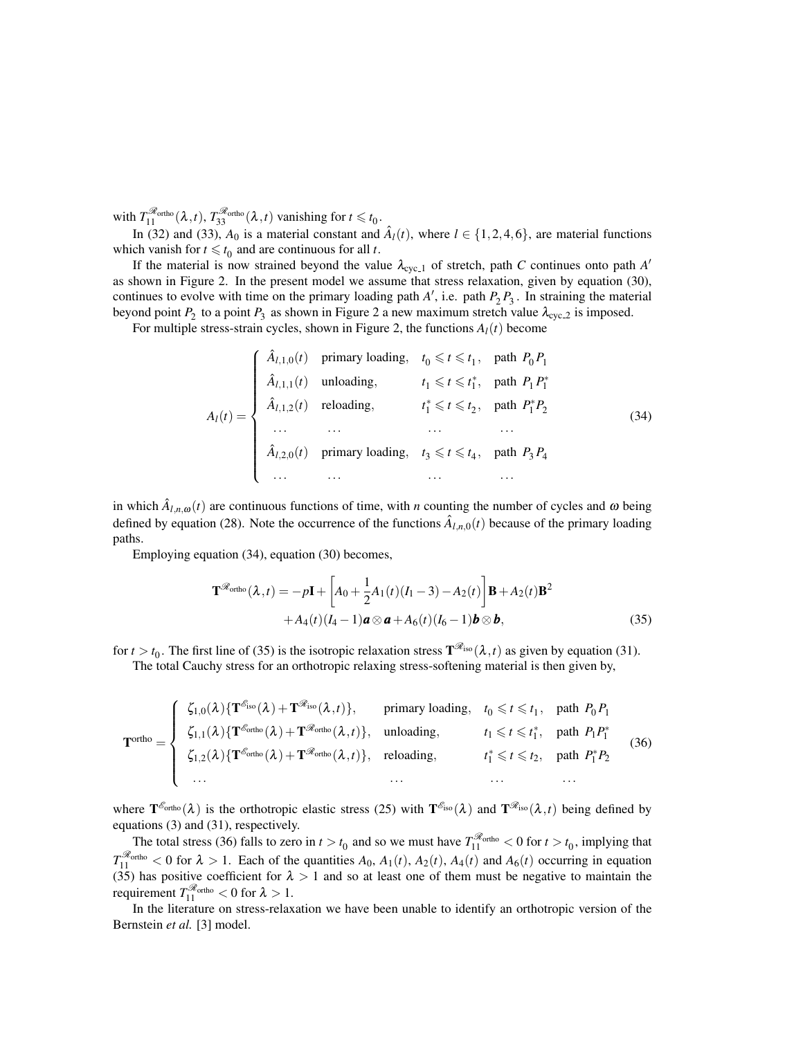with  $T_{11}^{\mathcal{R}_{\text{ortho}}}(\lambda,t)$ ,  $T_{33}^{\mathcal{R}_{\text{ortho}}}(\lambda,t)$  vanishing for  $t \leq t_0$ .

In (32) and (33),  $A_0$  is a material constant and  $\hat{A}_l(t)$ , where  $l \in \{1, 2, 4, 6\}$ , are material functions which vanish for  $t \leq t_0$  and are continuous for all *t*.

If the material is now strained beyond the value  $\lambda_{\text{cyc}\_1}$  of stretch, path *C* continues onto path *A*' as shown in Figure 2. In the present model we assume that stress relaxation, given by equation (30), continues to evolve with time on the primary loading path  $A'$ , i.e. path  $P_2 P_3$ . In straining the material beyond point  $P_2$  to a point  $P_3$  as shown in Figure 2 a new maximum stretch value  $\lambda_{\text{cyc}\_2}$  is imposed.

For multiple stress-strain cycles, shown in Figure 2, the functions  $A_l(t)$  become

$$
A_{l}(t) = \begin{cases} \n\hat{A}_{l,1,0}(t) & \text{primary loading}, & t_0 \leq t \leq t_1, \text{ path } P_0 P_1 \\
\hat{A}_{l,1,1}(t) & \text{unloading}, & t_1 \leq t \leq t_1^*, \text{ path } P_1 P_1^* \\
\hat{A}_{l,1,2}(t) & \text{reloading}, & t_1^* \leq t \leq t_2, \text{ path } P_1^* P_2 \\
\cdots & \cdots & \cdots & \cdots \\
\hat{A}_{l,2,0}(t) & \text{primary loading}, & t_3 \leq t \leq t_4, \text{ path } P_3 P_4 \\
\cdots & \cdots & \cdots & \cdots\n\end{cases} \tag{34}
$$

in which  $\hat{A}_{l,n,\omega}(t)$  are continuous functions of time, with *n* counting the number of cycles and  $\omega$  being defined by equation (28). Note the occurrence of the functions  $\hat{A}_{l,n,0}(t)$  because of the primary loading paths.

Employing equation (34), equation (30) becomes,

$$
\mathbf{T}^{\mathscr{R}_{\text{ortho}}}(\lambda, t) = -p\mathbf{I} + \left[A_0 + \frac{1}{2}A_1(t)(I_1 - 3) - A_2(t)\right]\mathbf{B} + A_2(t)\mathbf{B}^2
$$

$$
+ A_4(t)(I_4 - 1)\mathbf{a} \otimes \mathbf{a} + A_6(t)(I_6 - 1)\mathbf{b} \otimes \mathbf{b}, \tag{35}
$$

for  $t > t_0$ . The first line of (35) is the isotropic relaxation stress  $\mathbf{T}^{\mathscr{R}_{\text{iso}}}(\lambda, t)$  as given by equation (31). The total Cauchy stress for an orthotropic relaxing stress-softening material is then given by,

$$
\mathbf{T}^{\text{ortho}} = \begin{cases} \zeta_{1,0}(\lambda) \{ \mathbf{T}^{\mathcal{E}_{\text{iso}}}(\lambda) + \mathbf{T}^{\mathcal{R}_{\text{iso}}}(\lambda, t) \}, & \text{primary loading}, \quad t_0 \leq t \leq t_1, \text{ path } P_0 P_1 \\ \zeta_{1,1}(\lambda) \{ \mathbf{T}^{\mathcal{E}_{\text{ortho}}}(\lambda) + \mathbf{T}^{\mathcal{R}_{\text{ortho}}}(\lambda, t) \}, & \text{unloading}, \quad t_1 \leq t \leq t_1^*, \text{ path } P_1 P_1^* \\ \zeta_{1,2}(\lambda) \{ \mathbf{T}^{\mathcal{E}_{\text{ortho}}}(\lambda) + \mathbf{T}^{\mathcal{R}_{\text{ortho}}}(\lambda, t) \}, & \text{reloading}, \quad t_1^* \leq t \leq t_2, \text{ path } P_1^* P_2 \\ \dots & \dots & \dots \end{cases} \tag{36}
$$

where  $T^{\mathscr{E}_{\text{ortho}}}(\lambda)$  is the orthotropic elastic stress (25) with  $T^{\mathscr{E}_{\text{iso}}}(\lambda)$  and  $T^{\mathscr{E}_{\text{iso}}}(\lambda,t)$  being defined by equations (3) and (31), respectively.

The total stress (36) falls to zero in  $t > t_0$  and so we must have  $T_{11}^{\mathcal{R}_{\text{ortho}}} < 0$  for  $t > t_0$ , implying that  $T_{11}^{\mathcal{R}_{\text{ortho}}}$  < 0 for  $\lambda > 1$ . Each of the quantities  $A_0$ ,  $A_1(t)$ ,  $A_2(t)$ ,  $A_4(t)$  and  $A_6(t)$  occurring in equation (35) has positive coefficient for  $\lambda > 1$  and so at least one of them must be negative to maintain the requirement  $T_{11}^{\mathcal{R}_{\text{ortho}}} < 0$  for  $\lambda > 1$ .

In the literature on stress-relaxation we have been unable to identify an orthotropic version of the Bernstein *et al.* [3] model.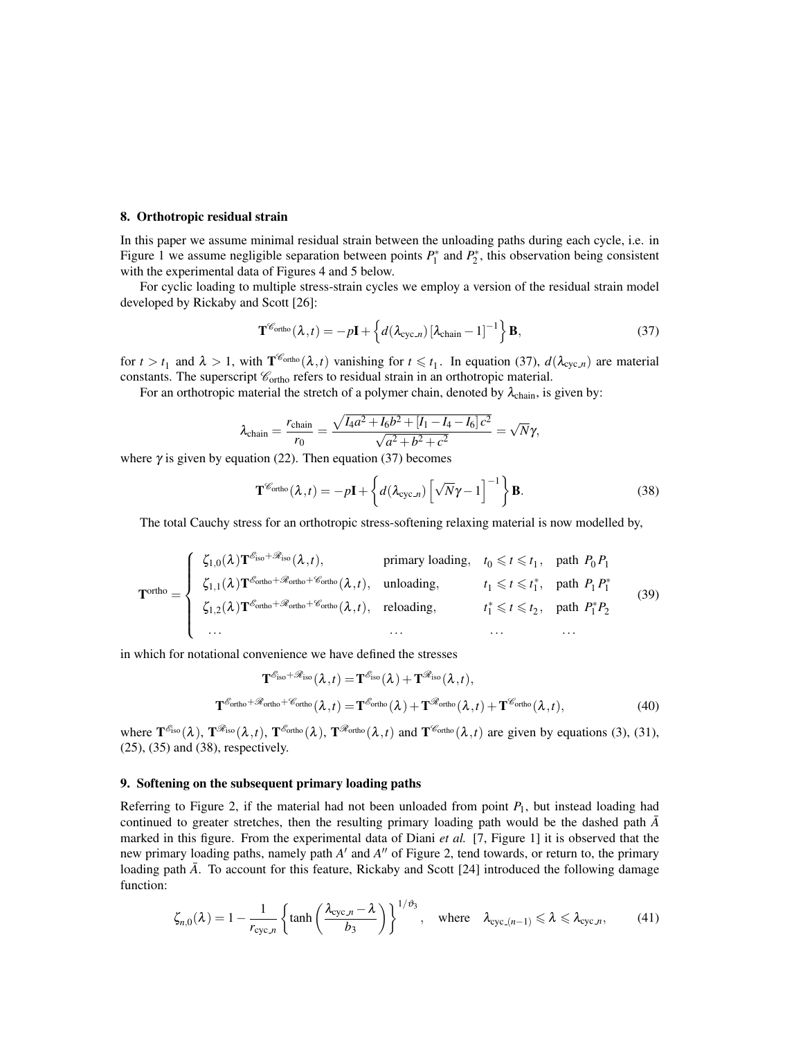#### 8. Orthotropic residual strain

In this paper we assume minimal residual strain between the unloading paths during each cycle, i.e. in Figure 1 we assume negligible separation between points  $P_1^*$  and  $P_2^*$ , this observation being consistent with the experimental data of Figures 4 and 5 below.

For cyclic loading to multiple stress-strain cycles we employ a version of the residual strain model developed by Rickaby and Scott [26]:

$$
\mathbf{T}^{\mathscr{C}_{\text{ortho}}}(\lambda,t) = -p\mathbf{I} + \left\{ d(\lambda_{\text{cyc}}) \left[ \lambda_{\text{chain}} - 1 \right]^{-1} \right\} \mathbf{B},\tag{37}
$$

for  $t > t_1$  and  $\lambda > 1$ , with  $\mathbf{T}^{\mathscr{C}_{\text{ortho}}}(\lambda, t)$  vanishing for  $t \leq t_1$ . In equation (37),  $d(\lambda_{\text{cyc},n})$  are material constants. The superscript  $\mathcal{C}_{\text{ortho}}$  refers to residual strain in an orthotropic material.

For an orthotropic material the stretch of a polymer chain, denoted by  $\lambda_{chain}$ , is given by:

$$
\lambda_{\text{chain}} = \frac{r_{\text{chain}}}{r_0} = \frac{\sqrt{I_4 a^2 + I_6 b^2 + [I_1 - I_4 - I_6] c^2}}{\sqrt{a^2 + b^2 + c^2}} = \sqrt{N} \gamma,
$$

where  $\gamma$  is given by equation (22). Then equation (37) becomes

$$
\mathbf{T}^{\mathscr{C}_{\text{ortho}}}(\lambda, t) = -p\mathbf{I} + \left\{ d(\lambda_{\text{cyc}}) \left[ \sqrt{N} \gamma - 1 \right]^{-1} \right\} \mathbf{B}.
$$
 (38)

The total Cauchy stress for an orthotropic stress-softening relaxing material is now modelled by,

$$
\mathbf{T}^{\text{ortho}} = \begin{cases} \zeta_{1,0}(\lambda) \mathbf{T}^{\mathcal{E}_{\text{iso}} + \mathcal{R}_{\text{iso}}}(\lambda, t), & \text{primary loading}, & t_0 \leq t \leq t_1, \text{ path } P_0 P_1 \\ \zeta_{1,1}(\lambda) \mathbf{T}^{\mathcal{E}_{\text{ortho}} + \mathcal{R}_{\text{ortho}}}(\lambda, t), & \text{unloading}, & t_1 \leq t \leq t_1^*, \text{ path } P_1 P_1^* \\ \zeta_{1,2}(\lambda) \mathbf{T}^{\mathcal{E}_{\text{ortho}} + \mathcal{R}_{\text{ortho}}}(\lambda, t), & \text{reloading}, & t_1^* \leq t \leq t_2, \text{ path } P_1^* P_2 \\ \dots & \dots & \dots & \dots \end{cases} \tag{39}
$$

in which for notational convenience we have defined the stresses

$$
\mathbf{T}^{\mathcal{E}_{\text{iso}}+\mathcal{R}_{\text{iso}}}(\lambda, t) = \mathbf{T}^{\mathcal{E}_{\text{iso}}}(\lambda) + \mathbf{T}^{\mathcal{R}_{\text{iso}}}(\lambda, t),
$$
  

$$
\mathbf{T}^{\mathcal{E}_{\text{ortho}}+\mathcal{R}_{\text{ortho}}}(\lambda, t) = \mathbf{T}^{\mathcal{E}_{\text{ortho}}}(\lambda) + \mathbf{T}^{\mathcal{R}_{\text{ortho}}}(\lambda, t) + \mathbf{T}^{\mathcal{E}_{\text{ortho}}}(\lambda, t),
$$
(40)

where  $\mathbf{T}^{\mathcal{E}_{\text{iso}}}(\lambda)$ ,  $\mathbf{T}^{\mathcal{R}_{\text{sto}}}(\lambda, t)$ ,  $\mathbf{T}^{\mathcal{E}_{\text{ortho}}}(\lambda)$ ,  $\mathbf{T}^{\mathcal{R}_{\text{ortho}}}(\lambda, t)$  and  $\mathbf{T}^{\mathcal{E}_{\text{ortho}}}(\lambda, t)$  are given by equations (3), (31), (25), (35) and (38), respectively.

### 9. Softening on the subsequent primary loading paths

Referring to Figure 2, if the material had not been unloaded from point *P*1, but instead loading had continued to greater stretches, then the resulting primary loading path would be the dashed path  $\bar{A}$ marked in this figure. From the experimental data of Diani *et al.* [7, Figure 1] it is observed that the new primary loading paths, namely path *A'* and *A''* of Figure 2, tend towards, or return to, the primary loading path  $\bar{A}$ . To account for this feature, Rickaby and Scott [24] introduced the following damage function:

$$
\zeta_{n,0}(\lambda) = 1 - \frac{1}{r_{\text{cyc.}n}} \left\{ \tanh\left(\frac{\lambda_{\text{cyc.}n} - \lambda}{b_3}\right) \right\}^{1/\vartheta_3}, \quad \text{where} \quad \lambda_{\text{cyc.}(n-1)} \leq \lambda \leq \lambda_{\text{cyc.}n}, \tag{41}
$$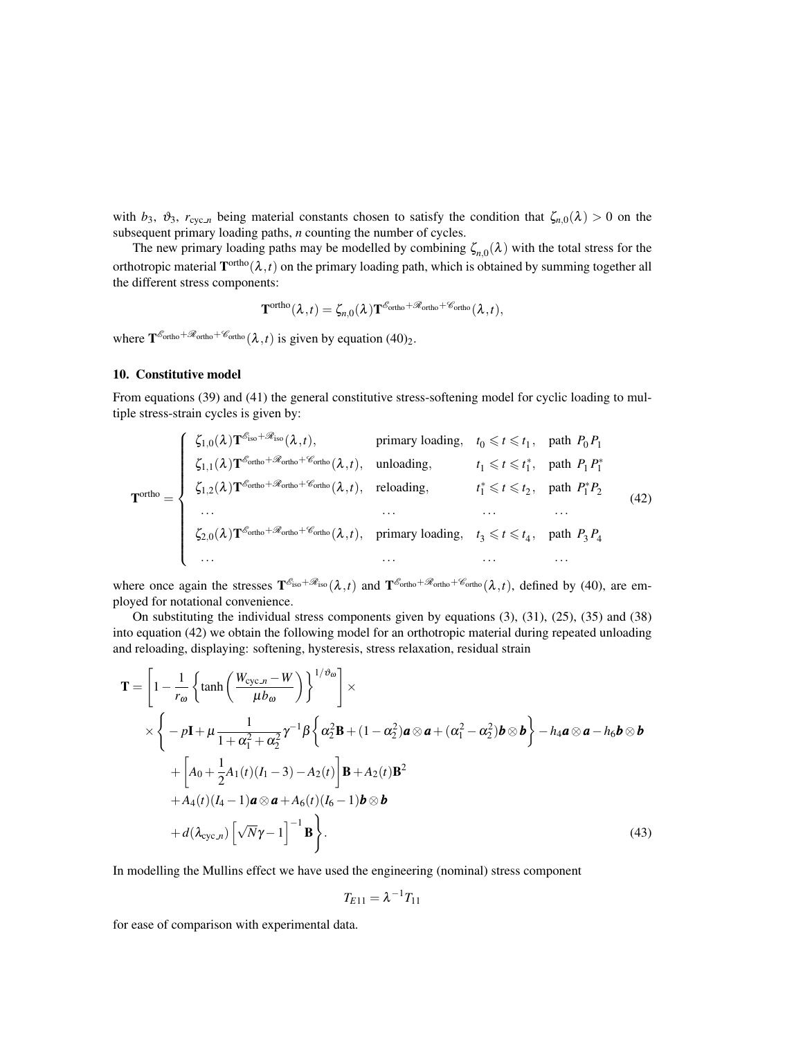with  $b_3$ ,  $\vartheta_3$ ,  $r_{\text{cyc},n}$  being material constants chosen to satisfy the condition that  $\zeta_{n,0}(\lambda) > 0$  on the subsequent primary loading paths, *n* counting the number of cycles.

The new primary loading paths may be modelled by combining  $\zeta_{n,0}(\lambda)$  with the total stress for the orthotropic material  $T^{\text{ortho}}(\lambda,t)$  on the primary loading path, which is obtained by summing together all the different stress components:

$$
\mathbf{T}^{\text{ortho}}(\boldsymbol{\lambda},t)=\zeta_{n,0}(\boldsymbol{\lambda})\mathbf{T}^{\mathscr{E}_{\text{ortho}}+\mathscr{R}_{\text{ortho}}+\mathscr{C}_{\text{ortho}}}(\boldsymbol{\lambda},t),
$$

where  $\mathbf{T}^{\mathscr{E}_{\text{ortho}}+\mathscr{R}_{\text{ortho}}+\mathscr{C}_{\text{ortho}}(\lambda, t)$  is given by equation (40)<sub>2</sub>.

# 10. Constitutive model

From equations (39) and (41) the general constitutive stress-softening model for cyclic loading to multiple stress-strain cycles is given by:

$$
\mathbf{T}^{\text{ortho}} = \begin{cases} \zeta_{1,0}(\lambda) \mathbf{T}^{\mathcal{E}_{\text{iso}}+\mathcal{R}_{\text{iso}}}(\lambda, t), & \text{primary loading}, \quad t_0 \leq t \leq t_1, \text{ path } P_0 P_1 \\ \zeta_{1,1}(\lambda) \mathbf{T}^{\mathcal{E}_{\text{ortho}}+\mathcal{R}_{\text{ortho}}(\lambda, t), & \text{unloading}, \quad t_1 \leq t \leq t_1^*, \text{ path } P_1 P_1^* \\ \zeta_{1,2}(\lambda) \mathbf{T}^{\mathcal{E}_{\text{ortho}}+\mathcal{R}_{\text{ortho}}+\mathcal{E}_{\text{ortho}}(\lambda, t), & \text{reloading}, \quad t_1^* \leq t \leq t_2, \text{ path } P_1^* P_2 \\ \cdots & \cdots & \cdots & \cdots \\ \zeta_{2,0}(\lambda) \mathbf{T}^{\mathcal{E}_{\text{ortho}}+\mathcal{R}_{\text{ortho}}+\mathcal{E}_{\text{ortho}}(\lambda, t), & \text{primary loading}, \quad t_3 \leq t \leq t_4, \text{ path } P_3 P_4 \\ \cdots & \cdots & \cdots & \cdots \end{cases} \tag{42}
$$

where once again the stresses  $T^{\mathscr{E}_{iso}+\mathscr{R}_{iso}}(\lambda,t)$  and  $T^{\mathscr{E}_{ortho}+\mathscr{R}_{ortho}(\lambda,t)$ , defined by (40), are employed for notational convenience.

On substituting the individual stress components given by equations (3), (31), (25), (35) and (38) into equation (42) we obtain the following model for an orthotropic material during repeated unloading and reloading, displaying: softening, hysteresis, stress relaxation, residual strain

$$
\mathbf{T} = \left[1 - \frac{1}{r_{\omega}} \left\{\tanh\left(\frac{W_{\text{cyc}} - W}{\mu b_{\omega}}\right)\right\}^{1/\vartheta_{\omega}}\right] \times
$$
  
\n
$$
\times \left\{-p\mathbf{I} + \mu \frac{1}{1 + \alpha_{1}^{2} + \alpha_{2}^{2}} \gamma^{-1} \beta \left\{\alpha_{2}^{2} \mathbf{B} + (1 - \alpha_{2}^{2}) \mathbf{a} \otimes \mathbf{a} + (\alpha_{1}^{2} - \alpha_{2}^{2}) \mathbf{b} \otimes \mathbf{b}\right\} - h_{4} \mathbf{a} \otimes \mathbf{a} - h_{6} \mathbf{b} \otimes \mathbf{b}
$$
  
\n
$$
+ \left[A_{0} + \frac{1}{2}A_{1}(t)(I_{1} - 3) - A_{2}(t)\right] \mathbf{B} + A_{2}(t) \mathbf{B}^{2}
$$
  
\n
$$
+ A_{4}(t)(I_{4} - 1) \mathbf{a} \otimes \mathbf{a} + A_{6}(t)(I_{6} - 1) \mathbf{b} \otimes \mathbf{b}
$$
  
\n
$$
+ d(\lambda_{\text{cyc}.n}) \left[\sqrt{N}\gamma - 1\right]^{-1} \mathbf{B}\right\}.
$$
 (43)

In modelling the Mullins effect we have used the engineering (nominal) stress component

$$
T_{E11}=\lambda^{-1}T_{11}
$$

for ease of comparison with experimental data.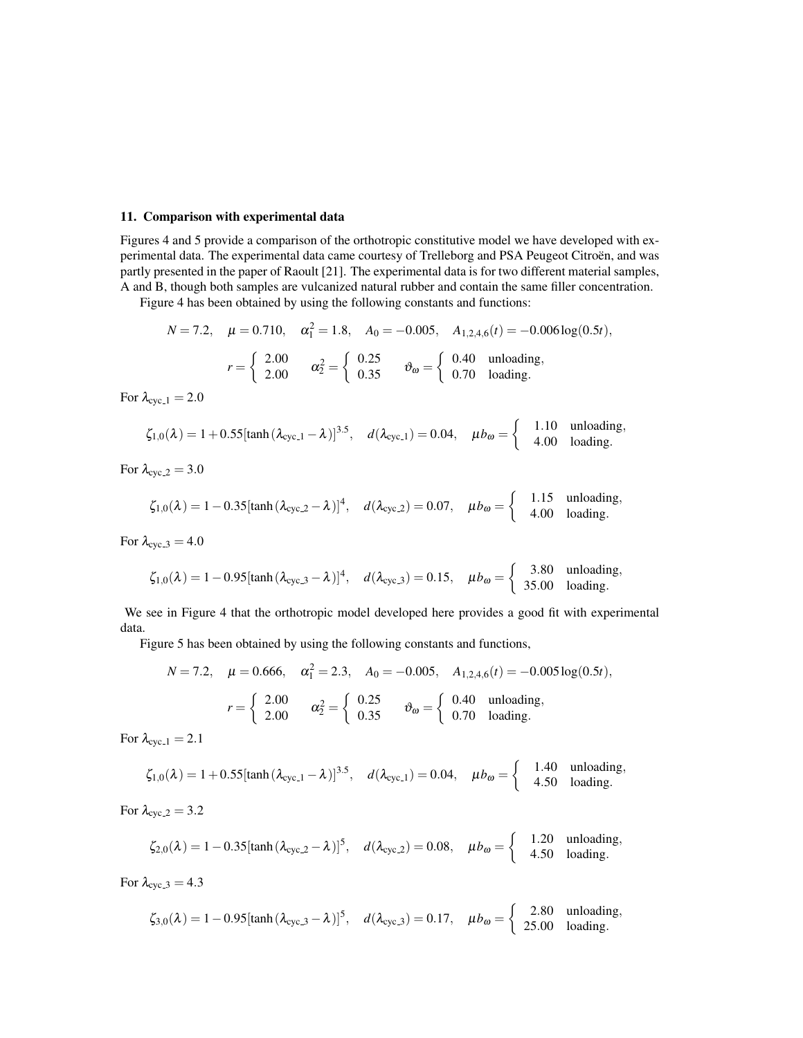# 11. Comparison with experimental data

Figures 4 and 5 provide a comparison of the orthotropic constitutive model we have developed with experimental data. The experimental data came courtesy of Trelleborg and PSA Peugeot Citroën, and was partly presented in the paper of Raoult [21]. The experimental data is for two different material samples, A and B, though both samples are vulcanized natural rubber and contain the same filler concentration.

Figure 4 has been obtained by using the following constants and functions:

$$
N = 7.2, \quad \mu = 0.710, \quad \alpha_1^2 = 1.8, \quad A_0 = -0.005, \quad A_{1,2,4,6}(t) = -0.006 \log(0.5t),
$$

$$
r = \begin{cases} 2.00 & \alpha_2^2 = \begin{cases} 0.25 & \vartheta_{\omega} = \begin{cases} 0.40 & \text{unloading,} \\ 0.70 & \text{loading.} \end{cases} \end{cases}
$$

For  $\lambda_{\text{cyc}\_1} = 2.0$ 

$$
\zeta_{1,0}(\lambda) = 1 + 0.55[\tanh(\lambda_{\text{cyc}\_1} - \lambda)]^{3.5}, \quad d(\lambda_{\text{cyc}\_1}) = 0.04, \quad \mu b_{\omega} = \begin{cases} 1.10 & \text{unloading,} \\ 4.00 & \text{loading.} \end{cases}
$$

For  $\lambda_{\text{cyc-2}} = 3.0$ 

$$
\zeta_{1,0}(\lambda) = 1 - 0.35[\tanh(\lambda_{\text{cyc.2}} - \lambda)]^4, \quad d(\lambda_{\text{cyc.2}}) = 0.07, \quad \mu b_{\omega} = \begin{cases} 1.15 & \text{unloading,} \\ 4.00 & \text{loading.} \end{cases}
$$

For  $\lambda_{\text{cyc,3}} = 4.0$ 

$$
\zeta_{1,0}(\lambda) = 1 - 0.95[\tanh(\lambda_{\text{cyc.3}} - \lambda)]^4, \quad d(\lambda_{\text{cyc.3}}) = 0.15, \quad \mu b_{\omega} = \begin{cases} 3.80 & \text{unloading,} \\ 35.00 & \text{loading.} \end{cases}
$$

We see in Figure 4 that the orthotropic model developed here provides a good fit with experimental data.

Figure 5 has been obtained by using the following constants and functions,

$$
N = 7.2, \quad \mu = 0.666, \quad \alpha_1^2 = 2.3, \quad A_0 = -0.005, \quad A_{1,2,4,6}(t) = -0.005 \log(0.5t),
$$

$$
r = \begin{cases} 2.00 & \alpha_2^2 = \begin{cases} 0.25 & \vartheta_{\omega} = \begin{cases} 0.40 & \text{unloading,} \\ 0.70 & \text{loading.} \end{cases} \end{cases}
$$

For  $\lambda_{\text{cyc-1}} = 2.1$ 

$$
\zeta_{1,0}(\lambda) = 1 + 0.55[\tanh(\lambda_{\text{cyc}\_1} - \lambda)]^{3.5}, \quad d(\lambda_{\text{cyc}\_1}) = 0.04, \quad \mu b_{\omega} = \begin{cases} 1.40 & \text{unloading,} \\ 4.50 & \text{loading.} \end{cases}
$$

For  $\lambda_{\text{cyc},2} = 3.2$ 

$$
\zeta_{2,0}(\lambda) = 1 - 0.35[\tanh(\lambda_{\text{cyc.2}} - \lambda)]^5, \quad d(\lambda_{\text{cyc.2}}) = 0.08, \quad \mu b_{\omega} = \begin{cases} 1.20 & \text{unloading,} \\ 4.50 & \text{loading.} \end{cases}
$$

For  $\lambda_{\text{cyc.3}} = 4.3$ 

$$
\zeta_{3,0}(\lambda) = 1 - 0.95[\tanh(\lambda_{\text{cyc.3}} - \lambda)]^5, \quad d(\lambda_{\text{cyc.3}}) = 0.17, \quad \mu b_{\omega} = \begin{cases} 2.80 & \text{unloading,} \\ 25.00 & \text{loading.} \end{cases}
$$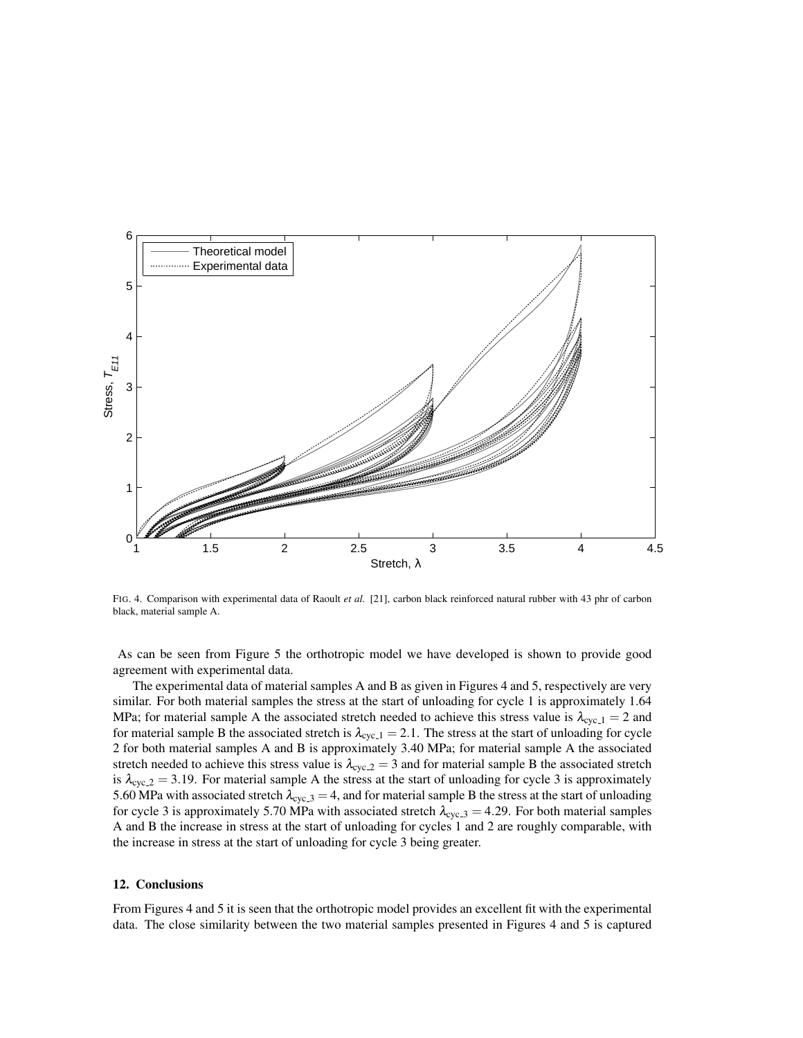

FIG. 4. Comparison with experimental data of Raoult *et al.* [21], carbon black reinforced natural rubber with 43 phr of carbon black, material sample A.

As can be seen from Figure 5 the orthotropic model we have developed is shown to provide good agreement with experimental data.

The experimental data of material samples A and B as given in Figures 4 and 5, respectively are very similar. For both material samples the stress at the start of unloading for cycle 1 is approximately 1.64 MPa; for material sample A the associated stretch needed to achieve this stress value is  $\lambda_{\text{cyc-1}} = 2$  and for material sample B the associated stretch is  $\lambda_{\text{cyc-1}} = 2.1$ . The stress at the start of unloading for cycle 2 for both material samples A and B is approximately 3.40 MPa; for material sample A the associated stretch needed to achieve this stress value is  $\lambda_{\rm cyc,2} = 3$  and for material sample B the associated stretch is  $\lambda_{\text{cyc},2} = 3.19$ . For material sample A the stress at the start of unloading for cycle 3 is approximately 5.60 MPa with associated stretch  $\lambda_{\text{cyc.3}} = 4$ , and for material sample B the stress at the start of unloading for cycle 3 is approximately 5.70 MPa with associated stretch  $\lambda_{\text{cyc,3}} = 4.29$ . For both material samples A and B the increase in stress at the start of unloading for cycles 1 and 2 are roughly comparable, with the increase in stress at the start of unloading for cycle 3 being greater.

# 12. Conclusions

From Figures 4 and 5 it is seen that the orthotropic model provides an excellent fit with the experimental data. The close similarity between the two material samples presented in Figures 4 and 5 is captured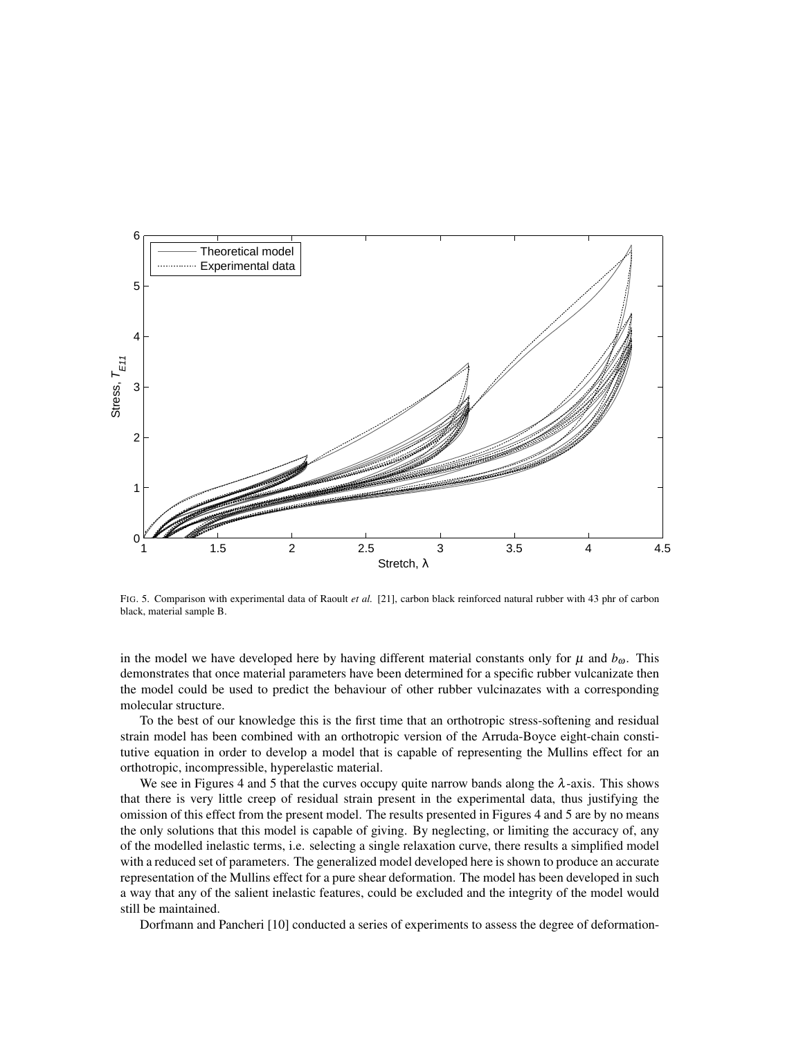

FIG. 5. Comparison with experimental data of Raoult *et al.* [21], carbon black reinforced natural rubber with 43 phr of carbon black, material sample B.

in the model we have developed here by having different material constants only for  $\mu$  and  $b_{\omega}$ . This demonstrates that once material parameters have been determined for a specific rubber vulcanizate then the model could be used to predict the behaviour of other rubber vulcinazates with a corresponding molecular structure.

To the best of our knowledge this is the first time that an orthotropic stress-softening and residual strain model has been combined with an orthotropic version of the Arruda-Boyce eight-chain constitutive equation in order to develop a model that is capable of representing the Mullins effect for an orthotropic, incompressible, hyperelastic material.

We see in Figures 4 and 5 that the curves occupy quite narrow bands along the  $\lambda$ -axis. This shows that there is very little creep of residual strain present in the experimental data, thus justifying the omission of this effect from the present model. The results presented in Figures 4 and 5 are by no means the only solutions that this model is capable of giving. By neglecting, or limiting the accuracy of, any of the modelled inelastic terms, i.e. selecting a single relaxation curve, there results a simplified model with a reduced set of parameters. The generalized model developed here is shown to produce an accurate representation of the Mullins effect for a pure shear deformation. The model has been developed in such a way that any of the salient inelastic features, could be excluded and the integrity of the model would still be maintained.

Dorfmann and Pancheri [10] conducted a series of experiments to assess the degree of deformation-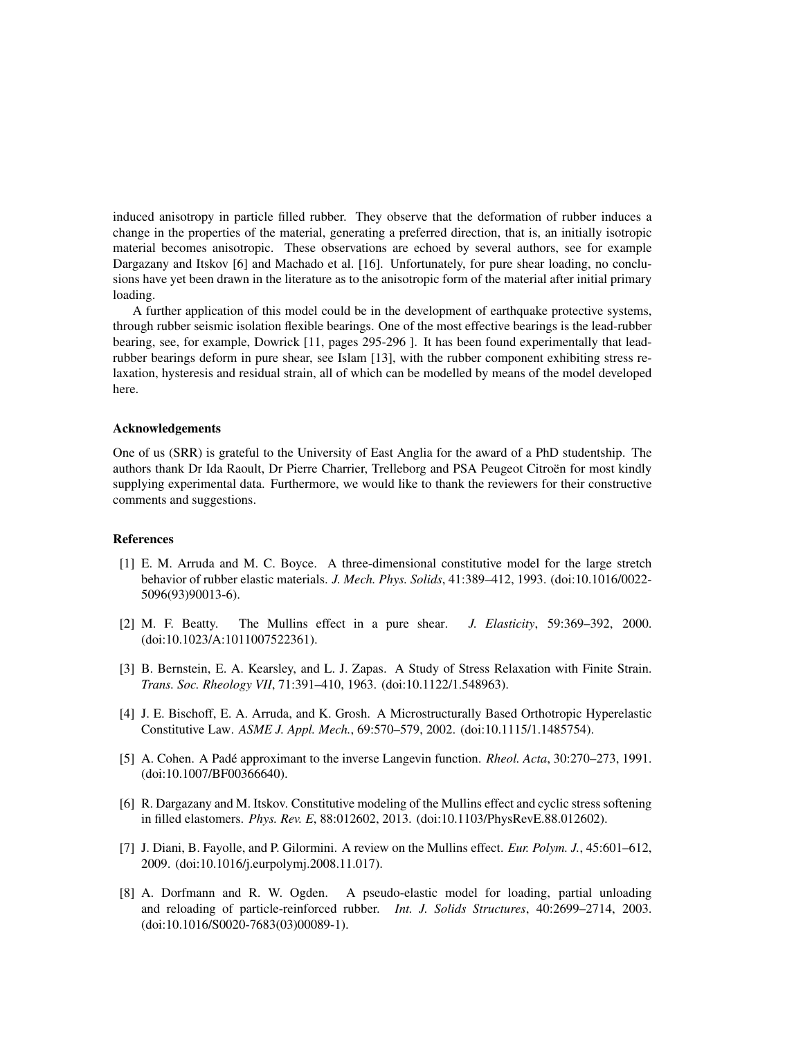induced anisotropy in particle filled rubber. They observe that the deformation of rubber induces a change in the properties of the material, generating a preferred direction, that is, an initially isotropic material becomes anisotropic. These observations are echoed by several authors, see for example Dargazany and Itskov [6] and Machado et al. [16]. Unfortunately, for pure shear loading, no conclusions have yet been drawn in the literature as to the anisotropic form of the material after initial primary loading.

A further application of this model could be in the development of earthquake protective systems, through rubber seismic isolation flexible bearings. One of the most effective bearings is the lead-rubber bearing, see, for example, Dowrick [11, pages 295-296 ]. It has been found experimentally that leadrubber bearings deform in pure shear, see Islam [13], with the rubber component exhibiting stress relaxation, hysteresis and residual strain, all of which can be modelled by means of the model developed here.

# Acknowledgements

One of us (SRR) is grateful to the University of East Anglia for the award of a PhD studentship. The authors thank Dr Ida Raoult, Dr Pierre Charrier, Trelleborg and PSA Peugeot Citroën for most kindly supplying experimental data. Furthermore, we would like to thank the reviewers for their constructive comments and suggestions.

#### References

- [1] E. M. Arruda and M. C. Boyce. A three-dimensional constitutive model for the large stretch behavior of rubber elastic materials. *J. Mech. Phys. Solids*, 41:389–412, 1993. (doi:10.1016/0022- 5096(93)90013-6).
- [2] M. F. Beatty. The Mullins effect in a pure shear. *J. Elasticity*, 59:369–392, 2000. (doi:10.1023/A:1011007522361).
- [3] B. Bernstein, E. A. Kearsley, and L. J. Zapas. A Study of Stress Relaxation with Finite Strain. *Trans. Soc. Rheology VII*, 71:391–410, 1963. (doi:10.1122/1.548963).
- [4] J. E. Bischoff, E. A. Arruda, and K. Grosh. A Microstructurally Based Orthotropic Hyperelastic Constitutive Law. *ASME J. Appl. Mech.*, 69:570–579, 2002. (doi:10.1115/1.1485754).
- [5] A. Cohen. A Padé approximant to the inverse Langevin function. *Rheol. Acta*, 30:270–273, 1991. (doi:10.1007/BF00366640).
- [6] R. Dargazany and M. Itskov. Constitutive modeling of the Mullins effect and cyclic stress softening in filled elastomers. *Phys. Rev. E*, 88:012602, 2013. (doi:10.1103/PhysRevE.88.012602).
- [7] J. Diani, B. Fayolle, and P. Gilormini. A review on the Mullins effect. *Eur. Polym. J.*, 45:601–612, 2009. (doi:10.1016/j.eurpolymj.2008.11.017).
- [8] A. Dorfmann and R. W. Ogden. A pseudo-elastic model for loading, partial unloading and reloading of particle-reinforced rubber. *Int. J. Solids Structures*, 40:2699–2714, 2003. (doi:10.1016/S0020-7683(03)00089-1).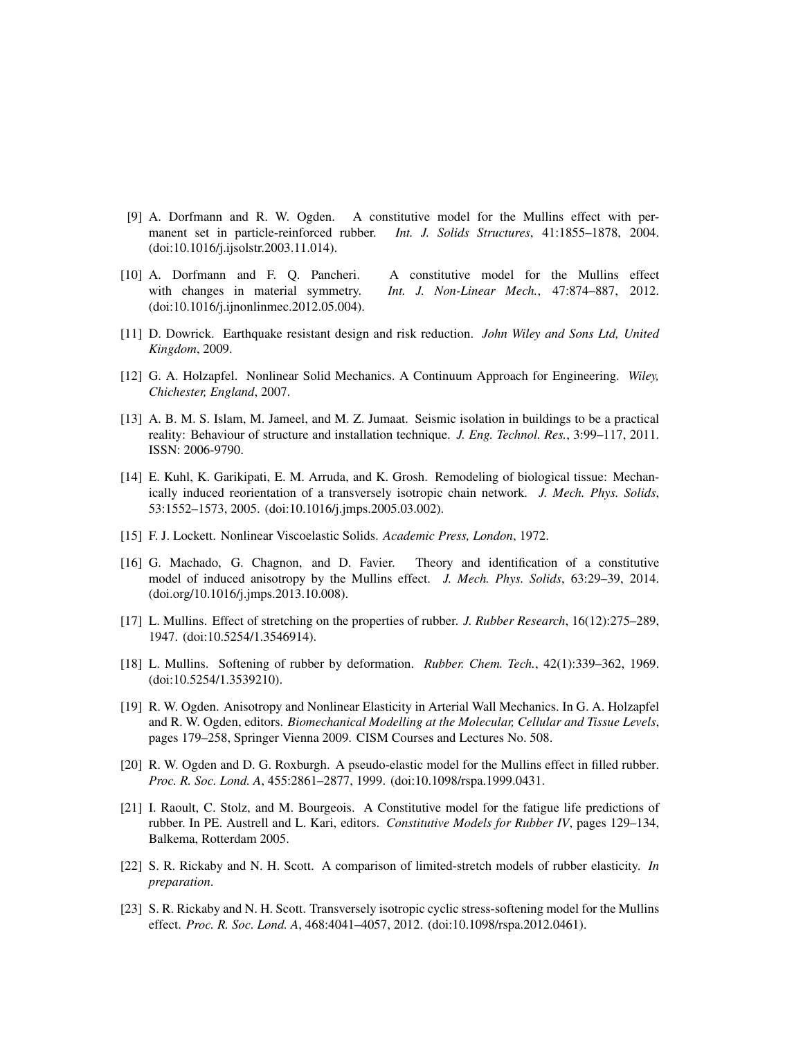- [9] A. Dorfmann and R. W. Ogden. A constitutive model for the Mullins effect with permanent set in particle-reinforced rubber. *Int. J. Solids Structures*, 41:1855–1878, 2004. (doi:10.1016/j.ijsolstr.2003.11.014).
- [10] A. Dorfmann and F. Q. Pancheri. A constitutive model for the Mullins effect with changes in material symmetry. *Int. J. Non-Linear Mech.*, 47:874–887, 2012. (doi:10.1016/j.ijnonlinmec.2012.05.004).
- [11] D. Dowrick. Earthquake resistant design and risk reduction. *John Wiley and Sons Ltd, United Kingdom*, 2009.
- [12] G. A. Holzapfel. Nonlinear Solid Mechanics. A Continuum Approach for Engineering. *Wiley, Chichester, England*, 2007.
- [13] A. B. M. S. Islam, M. Jameel, and M. Z. Jumaat. Seismic isolation in buildings to be a practical reality: Behaviour of structure and installation technique. *J. Eng. Technol. Res.*, 3:99–117, 2011. ISSN: 2006-9790.
- [14] E. Kuhl, K. Garikipati, E. M. Arruda, and K. Grosh. Remodeling of biological tissue: Mechanically induced reorientation of a transversely isotropic chain network. *J. Mech. Phys. Solids*, 53:1552–1573, 2005. (doi:10.1016/j.jmps.2005.03.002).
- [15] F. J. Lockett. Nonlinear Viscoelastic Solids. *Academic Press, London*, 1972.
- [16] G. Machado, G. Chagnon, and D. Favier. Theory and identification of a constitutive model of induced anisotropy by the Mullins effect. *J. Mech. Phys. Solids*, 63:29–39, 2014. (doi.org/10.1016/j.jmps.2013.10.008).
- [17] L. Mullins. Effect of stretching on the properties of rubber. *J. Rubber Research*, 16(12):275–289, 1947. (doi:10.5254/1.3546914).
- [18] L. Mullins. Softening of rubber by deformation. *Rubber. Chem. Tech.*, 42(1):339–362, 1969. (doi:10.5254/1.3539210).
- [19] R. W. Ogden. Anisotropy and Nonlinear Elasticity in Arterial Wall Mechanics. In G. A. Holzapfel and R. W. Ogden, editors. *Biomechanical Modelling at the Molecular, Cellular and Tissue Levels*, pages 179–258, Springer Vienna 2009. CISM Courses and Lectures No. 508.
- [20] R. W. Ogden and D. G. Roxburgh. A pseudo-elastic model for the Mullins effect in filled rubber. *Proc. R. Soc. Lond. A*, 455:2861–2877, 1999. (doi:10.1098/rspa.1999.0431.
- [21] I. Raoult, C. Stolz, and M. Bourgeois. A Constitutive model for the fatigue life predictions of rubber. In PE. Austrell and L. Kari, editors. *Constitutive Models for Rubber IV*, pages 129–134, Balkema, Rotterdam 2005.
- [22] S. R. Rickaby and N. H. Scott. A comparison of limited-stretch models of rubber elasticity. *In preparation*.
- [23] S. R. Rickaby and N. H. Scott. Transversely isotropic cyclic stress-softening model for the Mullins effect. *Proc. R. Soc. Lond. A*, 468:4041–4057, 2012. (doi:10.1098/rspa.2012.0461).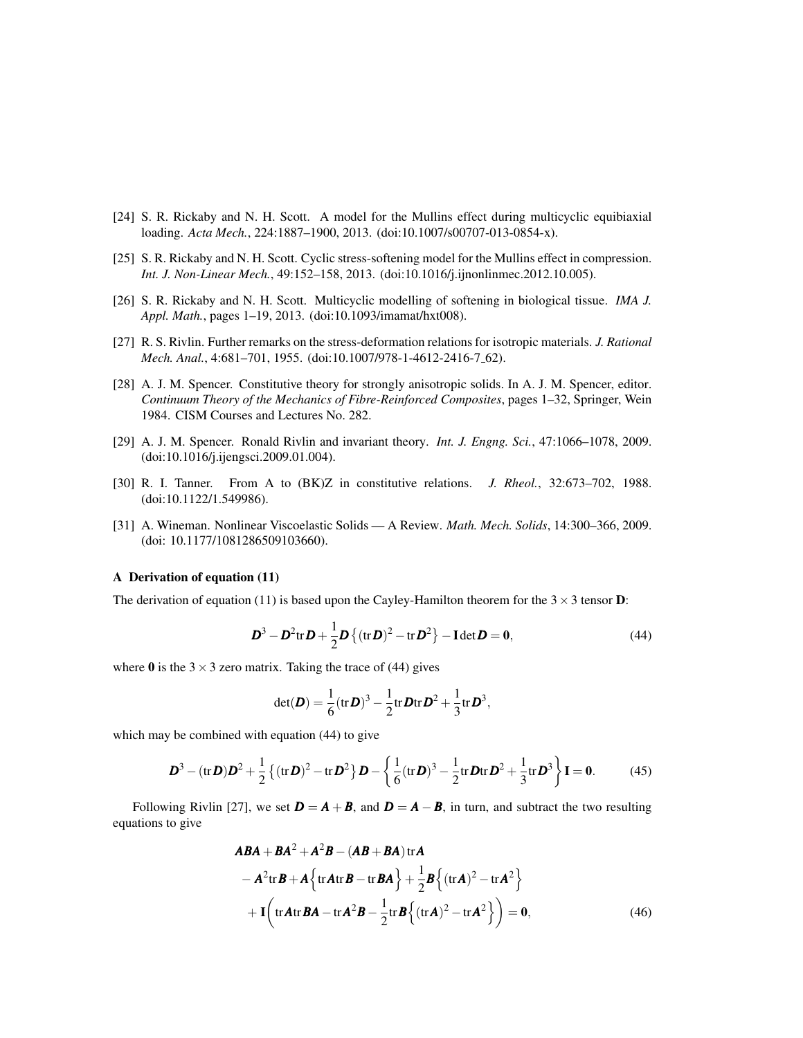- [24] S. R. Rickaby and N. H. Scott. A model for the Mullins effect during multicyclic equibiaxial loading. *Acta Mech.*, 224:1887–1900, 2013. (doi:10.1007/s00707-013-0854-x).
- [25] S. R. Rickaby and N. H. Scott. Cyclic stress-softening model for the Mullins effect in compression. *Int. J. Non-Linear Mech.*, 49:152–158, 2013. (doi:10.1016/j.ijnonlinmec.2012.10.005).
- [26] S. R. Rickaby and N. H. Scott. Multicyclic modelling of softening in biological tissue. *IMA J. Appl. Math.*, pages 1–19, 2013. (doi:10.1093/imamat/hxt008).
- [27] R. S. Rivlin. Further remarks on the stress-deformation relations for isotropic materials. *J. Rational Mech. Anal.*, 4:681-701, 1955. (doi:10.1007/978-1-4612-2416-7<sub>-62</sub>).
- [28] A. J. M. Spencer. Constitutive theory for strongly anisotropic solids. In A. J. M. Spencer, editor. *Continuum Theory of the Mechanics of Fibre-Reinforced Composites*, pages 1–32, Springer, Wein 1984. CISM Courses and Lectures No. 282.
- [29] A. J. M. Spencer. Ronald Rivlin and invariant theory. *Int. J. Engng. Sci.*, 47:1066–1078, 2009. (doi:10.1016/j.ijengsci.2009.01.004).
- [30] R. I. Tanner. From A to (BK)Z in constitutive relations. *J. Rheol.*, 32:673–702, 1988. (doi:10.1122/1.549986).
- [31] A. Wineman. Nonlinear Viscoelastic Solids A Review. *Math. Mech. Solids*, 14:300–366, 2009. (doi: 10.1177/1081286509103660).

# A Derivation of equation (11)

The derivation of equation (11) is based upon the Cayley-Hamilton theorem for the  $3 \times 3$  tensor **D**:

$$
\boldsymbol{D}^3 - \boldsymbol{D}^2 \text{tr} \, \boldsymbol{D} + \frac{1}{2} \boldsymbol{D} \left\{ (\text{tr} \, \boldsymbol{D})^2 - \text{tr} \, \boldsymbol{D}^2 \right\} - \text{Idet} \, \boldsymbol{D} = \boldsymbol{0},\tag{44}
$$

where 0 is the  $3 \times 3$  zero matrix. Taking the trace of (44) gives

$$
\det(\boldsymbol{D}) = \frac{1}{6} (\operatorname{tr} \boldsymbol{D})^3 - \frac{1}{2} \operatorname{tr} \boldsymbol{D} \operatorname{tr} \boldsymbol{D}^2 + \frac{1}{3} \operatorname{tr} \boldsymbol{D}^3,
$$

which may be combined with equation (44) to give

$$
\mathbf{D}^3 - (\text{tr}\,\mathbf{D})\mathbf{D}^2 + \frac{1}{2}\left\{(\text{tr}\,\mathbf{D})^2 - \text{tr}\,\mathbf{D}^2\right\}\mathbf{D} - \left\{\frac{1}{6}(\text{tr}\,\mathbf{D})^3 - \frac{1}{2}\text{tr}\,\mathbf{D}\text{tr}\,\mathbf{D}^2 + \frac{1}{3}\text{tr}\,\mathbf{D}^3\right\}\mathbf{I} = \mathbf{0}.\tag{45}
$$

Following Rivlin [27], we set  $D = A + B$ , and  $D = A - B$ , in turn, and subtract the two resulting equations to give

$$
ABA + BA^{2} + A^{2}B - (AB + BA) \text{tr}A
$$
  
\n
$$
- A^{2} \text{tr}B + A \left\{ \text{tr}A \text{tr}B - \text{tr}BA \right\} + \frac{1}{2}B \left\{ (\text{tr}A)^{2} - \text{tr}A^{2} \right\}
$$
  
\n
$$
+ I \left( \text{tr}A \text{tr}BA - \text{tr}A^{2}B - \frac{1}{2} \text{tr}B \left\{ (\text{tr}A)^{2} - \text{tr}A^{2} \right\} \right) = 0,
$$
\n(46)